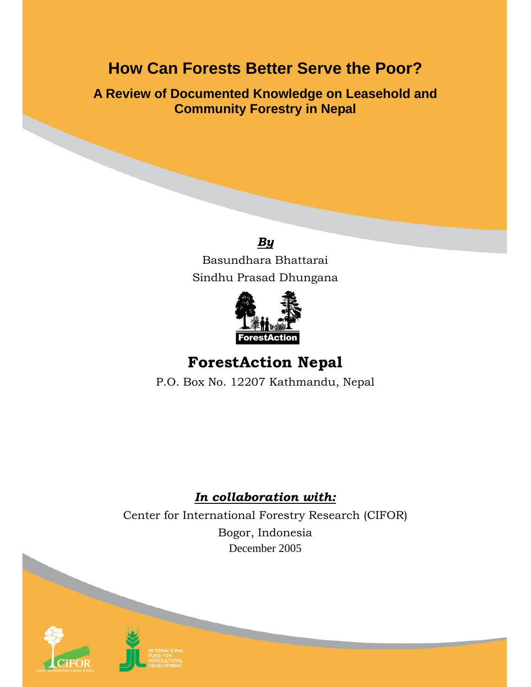# **How Can Forests Better Serve the Poor?**

**A Review of Documented Knowledge on Leasehold and Community Forestry in Nepal** 



Basundhara Bhattarai Sindhu Prasad Dhungana



# **ForestAction Nepal**

P.O. Box No. 12207 Kathmandu, Nepal

## *In collaboration with:*

Center for International Forestry Research (CIFOR) Bogor, Indonesia December 2005



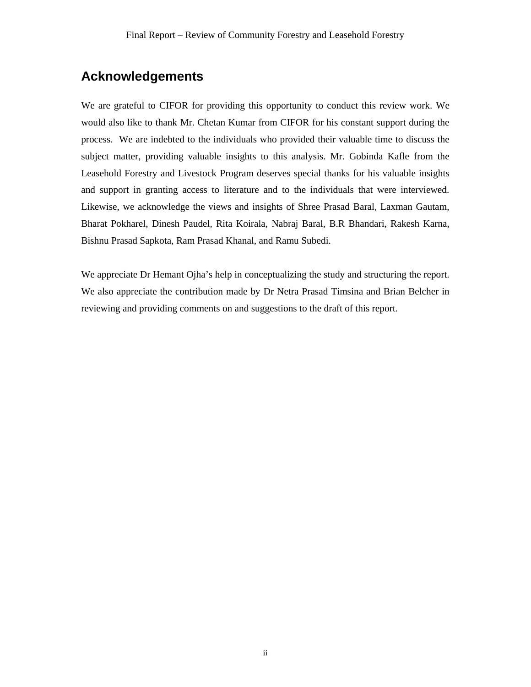## **Acknowledgements**

We are grateful to CIFOR for providing this opportunity to conduct this review work. We would also like to thank Mr. Chetan Kumar from CIFOR for his constant support during the process. We are indebted to the individuals who provided their valuable time to discuss the subject matter, providing valuable insights to this analysis. Mr. Gobinda Kafle from the Leasehold Forestry and Livestock Program deserves special thanks for his valuable insights and support in granting access to literature and to the individuals that were interviewed. Likewise, we acknowledge the views and insights of Shree Prasad Baral, Laxman Gautam, Bharat Pokharel, Dinesh Paudel, Rita Koirala, Nabraj Baral, B.R Bhandari, Rakesh Karna, Bishnu Prasad Sapkota, Ram Prasad Khanal, and Ramu Subedi.

We appreciate Dr Hemant Ojha's help in conceptualizing the study and structuring the report. We also appreciate the contribution made by Dr Netra Prasad Timsina and Brian Belcher in reviewing and providing comments on and suggestions to the draft of this report.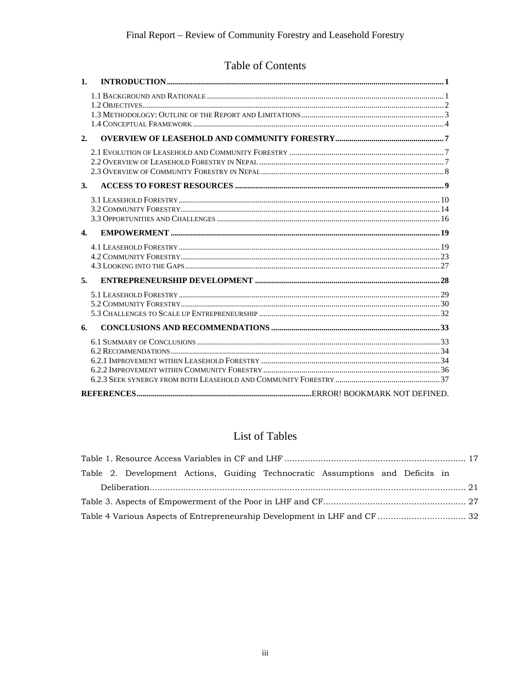## Table of Contents

| 1.           |  |
|--------------|--|
|              |  |
|              |  |
| 2.           |  |
|              |  |
| 3.           |  |
|              |  |
| $\mathbf{4}$ |  |
|              |  |
| 5.           |  |
|              |  |
| 6.           |  |
|              |  |
|              |  |
|              |  |

## List of Tables

| Table 2. Development Actions, Guiding Technocratic Assumptions and Deficits in |  |  |  |
|--------------------------------------------------------------------------------|--|--|--|
|                                                                                |  |  |  |
|                                                                                |  |  |  |
|                                                                                |  |  |  |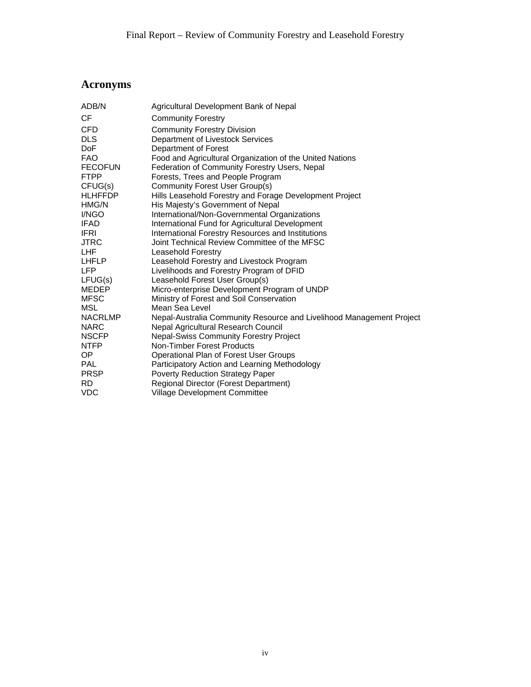## **Acronyms**

| ADB/N          | Agricultural Development Bank of Nepal                               |
|----------------|----------------------------------------------------------------------|
| СF             | <b>Community Forestry</b>                                            |
| CFD            | <b>Community Forestry Division</b>                                   |
| DLS            | Department of Livestock Services                                     |
| DoF            | Department of Forest                                                 |
| FAO            | Food and Agricultural Organization of the United Nations             |
| <b>FECOFUN</b> | Federation of Community Forestry Users, Nepal                        |
| FTPP           | Forests, Trees and People Program                                    |
| CFUG(s)        | <b>Community Forest User Group(s)</b>                                |
| HLHFFDP        | Hills Leasehold Forestry and Forage Development Project              |
| HMG/N          | His Majesty's Government of Nepal                                    |
| I/NGO          | International/Non-Governmental Organizations                         |
| IFAD           | International Fund for Agricultural Development                      |
| IFRI           | International Forestry Resources and Institutions                    |
| JTRC .         | Joint Technical Review Committee of the MFSC                         |
| LHF            | <b>Leasehold Forestry</b>                                            |
| LHFLP          | Leasehold Forestry and Livestock Program                             |
| LFP            | Livelihoods and Forestry Program of DFID                             |
| LFUG(s)        | Leasehold Forest User Group(s)                                       |
| MEDEP          | Micro-enterprise Development Program of UNDP                         |
| MFSC           | Ministry of Forest and Soil Conservation                             |
| MSL            | Mean Sea Level                                                       |
| NACRLMP        | Nepal-Australia Community Resource and Livelihood Management Project |
| NARC           | Nepal Agricultural Research Council                                  |
| NSCFP          | <b>Nepal-Swiss Community Forestry Project</b>                        |
| NTFP           | Non-Timber Forest Products                                           |
| OP.            | Operational Plan of Forest User Groups                               |
| PAL            | Participatory Action and Learning Methodology                        |
| PRSP           | Poverty Reduction Strategy Paper                                     |
| RD             | Regional Director (Forest Department)                                |
| VDC            | <b>Village Development Committee</b>                                 |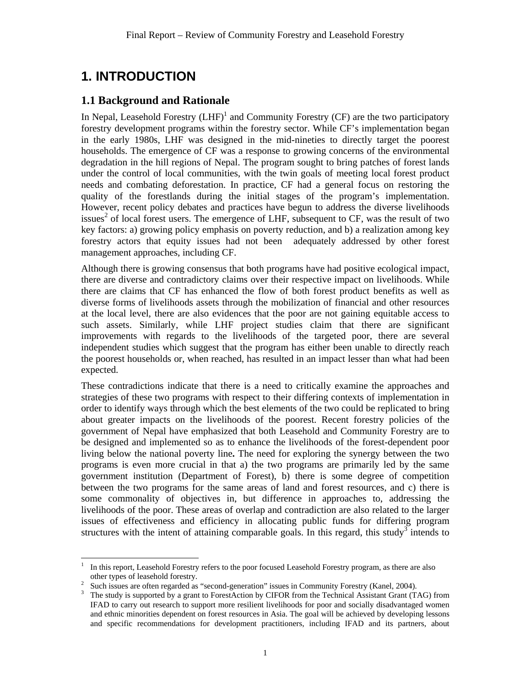## **1. INTRODUCTION**

 $\overline{a}$ 

### **1.1 Background and Rationale**

In Nepal, Leasehold Forestry  $(LHF)^1$  and Community Forestry (CF) are the two participatory forestry development programs within the forestry sector. While CF's implementation began in the early 1980s, LHF was designed in the mid-nineties to directly target the poorest households. The emergence of CF was a response to growing concerns of the environmental degradation in the hill regions of Nepal. The program sought to bring patches of forest lands under the control of local communities, with the twin goals of meeting local forest product needs and combating deforestation. In practice, CF had a general focus on restoring the quality of the forestlands during the initial stages of the program's implementation. However, recent policy debates and practices have begun to address the diverse livelihoods issues<sup>2</sup> of local forest users. The emergence of LHF, subsequent to CF, was the result of two key factors: a) growing policy emphasis on poverty reduction, and b) a realization among key forestry actors that equity issues had not been adequately addressed by other forest management approaches, including CF.

Although there is growing consensus that both programs have had positive ecological impact, there are diverse and contradictory claims over their respective impact on livelihoods. While there are claims that CF has enhanced the flow of both forest product benefits as well as diverse forms of livelihoods assets through the mobilization of financial and other resources at the local level, there are also evidences that the poor are not gaining equitable access to such assets. Similarly, while LHF project studies claim that there are significant improvements with regards to the livelihoods of the targeted poor, there are several independent studies which suggest that the program has either been unable to directly reach the poorest households or, when reached, has resulted in an impact lesser than what had been expected.

These contradictions indicate that there is a need to critically examine the approaches and strategies of these two programs with respect to their differing contexts of implementation in order to identify ways through which the best elements of the two could be replicated to bring about greater impacts on the livelihoods of the poorest. Recent forestry policies of the government of Nepal have emphasized that both Leasehold and Community Forestry are to be designed and implemented so as to enhance the livelihoods of the forest-dependent poor living below the national poverty line**.** The need for exploring the synergy between the two programs is even more crucial in that a) the two programs are primarily led by the same government institution (Department of Forest), b) there is some degree of competition between the two programs for the same areas of land and forest resources, and c) there is some commonality of objectives in, but difference in approaches to, addressing the livelihoods of the poor. These areas of overlap and contradiction are also related to the larger issues of effectiveness and efficiency in allocating public funds for differing program structures with the intent of attaining comparable goals. In this regard, this study<sup>3</sup> intends to

<sup>1</sup> In this report, Leasehold Forestry refers to the poor focused Leasehold Forestry program, as there are also

other types of leasehold forestry.<br><sup>2</sup> Such issues are often regarded as "second-generation" issues in Community Forestry (Kanel, 2004).

<sup>&</sup>lt;sup>3</sup> The study is supported by a grant to ForestAction by CIFOR from the Technical Assistant Grant (TAG) from IFAD to carry out research to support more resilient livelihoods for poor and socially disadvantaged women and ethnic minorities dependent on forest resources in Asia. The goal will be achieved by developing lessons and specific recommendations for development practitioners, including IFAD and its partners, about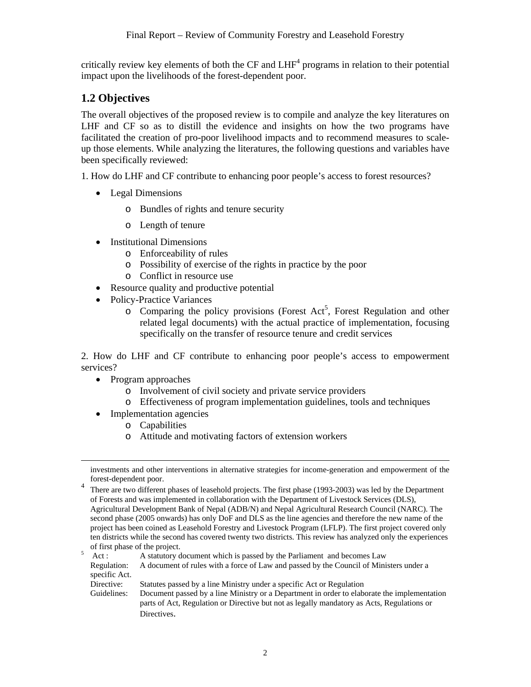critically review key elements of both the CF and  $LHF<sup>4</sup>$  programs in relation to their potential impact upon the livelihoods of the forest-dependent poor.

### **1.2 Objectives**

The overall objectives of the proposed review is to compile and analyze the key literatures on LHF and CF so as to distill the evidence and insights on how the two programs have facilitated the creation of pro-poor livelihood impacts and to recommend measures to scaleup those elements. While analyzing the literatures, the following questions and variables have been specifically reviewed:

1. How do LHF and CF contribute to enhancing poor people's access to forest resources?

- Legal Dimensions
	- o Bundles of rights and tenure security
	- o Length of tenure
- Institutional Dimensions
	- o Enforceability of rules
	- o Possibility of exercise of the rights in practice by the poor
	- o Conflict in resource use
- Resource quality and productive potential
- Policy-Practice Variances
	- $\circ$  Comparing the policy provisions (Forest Act<sup>5</sup>, Forest Regulation and other related legal documents) with the actual practice of implementation, focusing specifically on the transfer of resource tenure and credit services

2. How do LHF and CF contribute to enhancing poor people's access to empowerment services?

- Program approaches
	- o Involvement of civil society and private service providers
	- o Effectiveness of program implementation guidelines, tools and techniques
- Implementation agencies
	- o Capabilities
	- o Attitude and motivating factors of extension workers

<sup>4</sup> There are two different phases of leasehold projects. The first phase (1993-2003) was led by the Department of Forests and was implemented in collaboration with the Department of Livestock Services (DLS), Agricultural Development Bank of Nepal (ADB/N) and Nepal Agricultural Research Council (NARC). The second phase (2005 onwards) has only DoF and DLS as the line agencies and therefore the new name of the project has been coined as Leasehold Forestry and Livestock Program (LFLP). The first project covered only ten districts while the second has covered twenty two districts. This review has analyzed only the experiences of first phase of the project.<br>  $5$  Act : A statutory document which is passed by the Parliament and becomes Law

 Regulation: A document of rules with a force of Law and passed by the Council of Ministers under a specific Act.

Directive: Statutes passed by a line Ministry under a specific Act or Regulation

Guidelines: Document passed by a line Ministry or a Department in order to elaborate the implementation parts of Act, Regulation or Directive but not as legally mandatory as Acts, Regulations or Directives.

investments and other interventions in alternative strategies for income-generation and empowerment of the forest-dependent poor.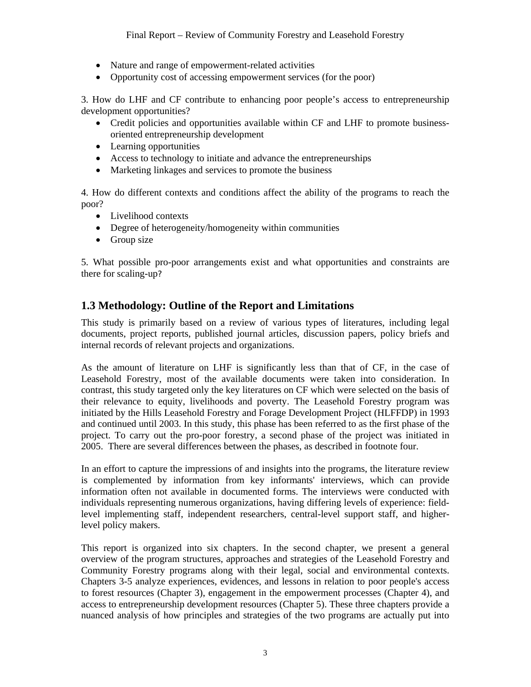- Nature and range of empowerment-related activities
- Opportunity cost of accessing empowerment services (for the poor)

3. How do LHF and CF contribute to enhancing poor people's access to entrepreneurship development opportunities?

- Credit policies and opportunities available within CF and LHF to promote businessoriented entrepreneurship development
- Learning opportunities
- Access to technology to initiate and advance the entrepreneurships
- Marketing linkages and services to promote the business

4. How do different contexts and conditions affect the ability of the programs to reach the poor?

- Livelihood contexts
- Degree of heterogeneity/homogeneity within communities
- Group size

5. What possible pro-poor arrangements exist and what opportunities and constraints are there for scaling-up?

### **1.3 Methodology: Outline of the Report and Limitations**

This study is primarily based on a review of various types of literatures, including legal documents, project reports, published journal articles, discussion papers, policy briefs and internal records of relevant projects and organizations.

As the amount of literature on LHF is significantly less than that of CF, in the case of Leasehold Forestry, most of the available documents were taken into consideration. In contrast, this study targeted only the key literatures on CF which were selected on the basis of their relevance to equity, livelihoods and poverty. The Leasehold Forestry program was initiated by the Hills Leasehold Forestry and Forage Development Project (HLFFDP) in 1993 and continued until 2003. In this study, this phase has been referred to as the first phase of the project. To carry out the pro-poor forestry, a second phase of the project was initiated in 2005. There are several differences between the phases, as described in footnote four.

In an effort to capture the impressions of and insights into the programs, the literature review is complemented by information from key informants' interviews, which can provide information often not available in documented forms. The interviews were conducted with individuals representing numerous organizations, having differing levels of experience: fieldlevel implementing staff, independent researchers, central-level support staff, and higherlevel policy makers.

This report is organized into six chapters. In the second chapter, we present a general overview of the program structures, approaches and strategies of the Leasehold Forestry and Community Forestry programs along with their legal, social and environmental contexts. Chapters 3-5 analyze experiences, evidences, and lessons in relation to poor people's access to forest resources (Chapter 3), engagement in the empowerment processes (Chapter 4), and access to entrepreneurship development resources (Chapter 5). These three chapters provide a nuanced analysis of how principles and strategies of the two programs are actually put into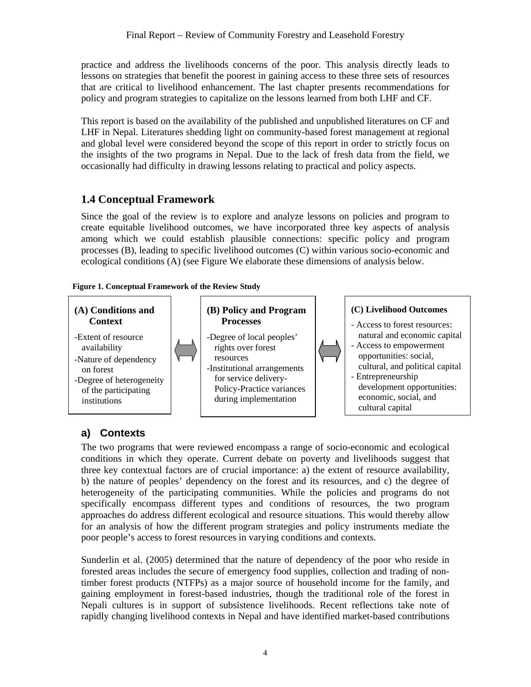practice and address the livelihoods concerns of the poor. This analysis directly leads to lessons on strategies that benefit the poorest in gaining access to these three sets of resources that are critical to livelihood enhancement. The last chapter presents recommendations for policy and program strategies to capitalize on the lessons learned from both LHF and CF.

This report is based on the availability of the published and unpublished literatures on CF and LHF in Nepal. Literatures shedding light on community-based forest management at regional and global level were considered beyond the scope of this report in order to strictly focus on the insights of the two programs in Nepal. Due to the lack of fresh data from the field, we occasionally had difficulty in drawing lessons relating to practical and policy aspects.

## **1.4 Conceptual Framework**

Since the goal of the review is to explore and analyze lessons on policies and program to create equitable livelihood outcomes, we have incorporated three key aspects of analysis among which we could establish plausible connections: specific policy and program processes (B), leading to specific livelihood outcomes (C) within various socio-economic and ecological conditions (A) (see Figure We elaborate these dimensions of analysis below.

### **Figure 1. Conceptual Framework of the Review Study**



## **a) Contexts**

The two programs that were reviewed encompass a range of socio-economic and ecological conditions in which they operate. Current debate on poverty and livelihoods suggest that three key contextual factors are of crucial importance: a) the extent of resource availability, b) the nature of peoples' dependency on the forest and its resources, and c) the degree of heterogeneity of the participating communities. While the policies and programs do not specifically encompass different types and conditions of resources, the two program approaches do address different ecological and resource situations. This would thereby allow for an analysis of how the different program strategies and policy instruments mediate the poor people's access to forest resources in varying conditions and contexts.

Sunderlin et al. (2005) determined that the nature of dependency of the poor who reside in forested areas includes the secure of emergency food supplies, collection and trading of nontimber forest products (NTFPs) as a major source of household income for the family, and gaining employment in forest-based industries, though the traditional role of the forest in Nepali cultures is in support of subsistence livelihoods. Recent reflections take note of rapidly changing livelihood contexts in Nepal and have identified market-based contributions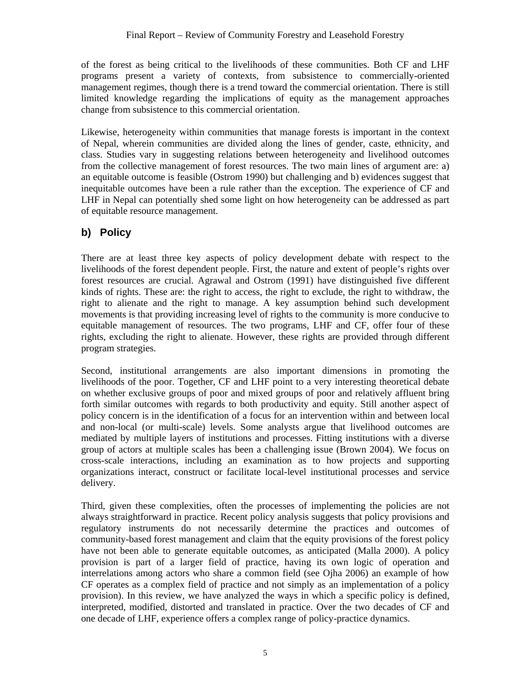of the forest as being critical to the livelihoods of these communities. Both CF and LHF programs present a variety of contexts, from subsistence to commercially-oriented management regimes, though there is a trend toward the commercial orientation. There is still limited knowledge regarding the implications of equity as the management approaches change from subsistence to this commercial orientation.

Likewise, heterogeneity within communities that manage forests is important in the context of Nepal, wherein communities are divided along the lines of gender, caste, ethnicity, and class. Studies vary in suggesting relations between heterogeneity and livelihood outcomes from the collective management of forest resources. The two main lines of argument are: a) an equitable outcome is feasible (Ostrom 1990) but challenging and b) evidences suggest that inequitable outcomes have been a rule rather than the exception. The experience of CF and LHF in Nepal can potentially shed some light on how heterogeneity can be addressed as part of equitable resource management.

## **b) Policy**

There are at least three key aspects of policy development debate with respect to the livelihoods of the forest dependent people. First, the nature and extent of people's rights over forest resources are crucial. Agrawal and Ostrom (1991) have distinguished five different kinds of rights. These are: the right to access, the right to exclude, the right to withdraw, the right to alienate and the right to manage. A key assumption behind such development movements is that providing increasing level of rights to the community is more conducive to equitable management of resources. The two programs, LHF and CF, offer four of these rights, excluding the right to alienate. However, these rights are provided through different program strategies.

Second, institutional arrangements are also important dimensions in promoting the livelihoods of the poor. Together, CF and LHF point to a very interesting theoretical debate on whether exclusive groups of poor and mixed groups of poor and relatively affluent bring forth similar outcomes with regards to both productivity and equity. Still another aspect of policy concern is in the identification of a focus for an intervention within and between local and non-local (or multi-scale) levels. Some analysts argue that livelihood outcomes are mediated by multiple layers of institutions and processes. Fitting institutions with a diverse group of actors at multiple scales has been a challenging issue (Brown 2004). We focus on cross-scale interactions, including an examination as to how projects and supporting organizations interact, construct or facilitate local-level institutional processes and service delivery.

Third, given these complexities, often the processes of implementing the policies are not always straightforward in practice. Recent policy analysis suggests that policy provisions and regulatory instruments do not necessarily determine the practices and outcomes of community-based forest management and claim that the equity provisions of the forest policy have not been able to generate equitable outcomes, as anticipated (Malla 2000). A policy provision is part of a larger field of practice, having its own logic of operation and interrelations among actors who share a common field (see Ojha 2006) an example of how CF operates as a complex field of practice and not simply as an implementation of a policy provision). In this review, we have analyzed the ways in which a specific policy is defined, interpreted, modified, distorted and translated in practice. Over the two decades of CF and one decade of LHF, experience offers a complex range of policy-practice dynamics.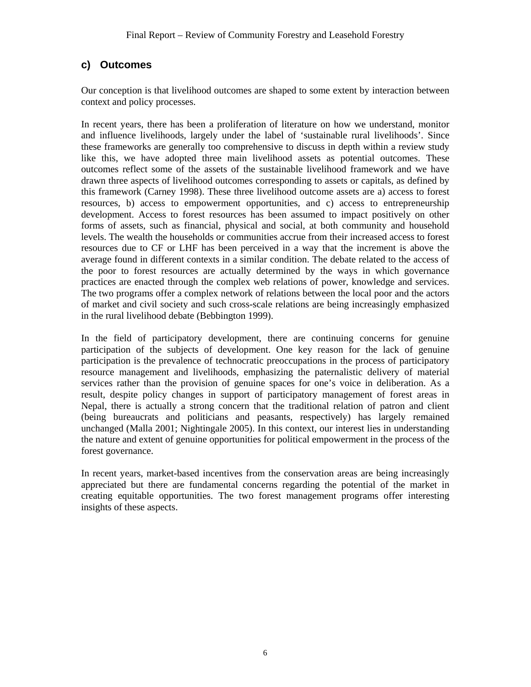### **c) Outcomes**

Our conception is that livelihood outcomes are shaped to some extent by interaction between context and policy processes.

In recent years, there has been a proliferation of literature on how we understand, monitor and influence livelihoods, largely under the label of 'sustainable rural livelihoods'. Since these frameworks are generally too comprehensive to discuss in depth within a review study like this, we have adopted three main livelihood assets as potential outcomes. These outcomes reflect some of the assets of the sustainable livelihood framework and we have drawn three aspects of livelihood outcomes corresponding to assets or capitals, as defined by this framework (Carney 1998). These three livelihood outcome assets are a) access to forest resources, b) access to empowerment opportunities, and c) access to entrepreneurship development. Access to forest resources has been assumed to impact positively on other forms of assets, such as financial, physical and social, at both community and household levels. The wealth the households or communities accrue from their increased access to forest resources due to CF or LHF has been perceived in a way that the increment is above the average found in different contexts in a similar condition. The debate related to the access of the poor to forest resources are actually determined by the ways in which governance practices are enacted through the complex web relations of power, knowledge and services. The two programs offer a complex network of relations between the local poor and the actors of market and civil society and such cross-scale relations are being increasingly emphasized in the rural livelihood debate (Bebbington 1999).

In the field of participatory development, there are continuing concerns for genuine participation of the subjects of development. One key reason for the lack of genuine participation is the prevalence of technocratic preoccupations in the process of participatory resource management and livelihoods, emphasizing the paternalistic delivery of material services rather than the provision of genuine spaces for one's voice in deliberation. As a result, despite policy changes in support of participatory management of forest areas in Nepal, there is actually a strong concern that the traditional relation of patron and client (being bureaucrats and politicians and peasants, respectively) has largely remained unchanged (Malla 2001; Nightingale 2005). In this context, our interest lies in understanding the nature and extent of genuine opportunities for political empowerment in the process of the forest governance.

In recent years, market-based incentives from the conservation areas are being increasingly appreciated but there are fundamental concerns regarding the potential of the market in creating equitable opportunities. The two forest management programs offer interesting insights of these aspects.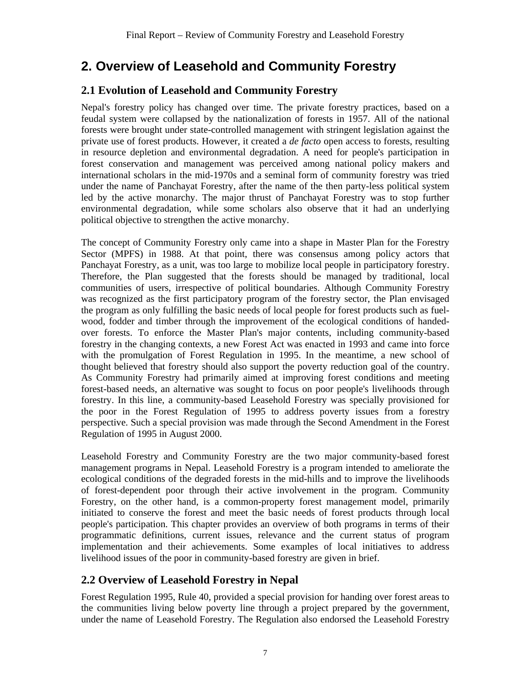## **2. Overview of Leasehold and Community Forestry**

### **2.1 Evolution of Leasehold and Community Forestry**

Nepal's forestry policy has changed over time. The private forestry practices, based on a feudal system were collapsed by the nationalization of forests in 1957. All of the national forests were brought under state-controlled management with stringent legislation against the private use of forest products. However, it created a *de facto* open access to forests, resulting in resource depletion and environmental degradation. A need for people's participation in forest conservation and management was perceived among national policy makers and international scholars in the mid-1970s and a seminal form of community forestry was tried under the name of Panchayat Forestry, after the name of the then party-less political system led by the active monarchy. The major thrust of Panchayat Forestry was to stop further environmental degradation, while some scholars also observe that it had an underlying political objective to strengthen the active monarchy.

The concept of Community Forestry only came into a shape in Master Plan for the Forestry Sector (MPFS) in 1988. At that point, there was consensus among policy actors that Panchayat Forestry, as a unit, was too large to mobilize local people in participatory forestry. Therefore, the Plan suggested that the forests should be managed by traditional, local communities of users, irrespective of political boundaries. Although Community Forestry was recognized as the first participatory program of the forestry sector, the Plan envisaged the program as only fulfilling the basic needs of local people for forest products such as fuelwood, fodder and timber through the improvement of the ecological conditions of handedover forests. To enforce the Master Plan's major contents, including community-based forestry in the changing contexts, a new Forest Act was enacted in 1993 and came into force with the promulgation of Forest Regulation in 1995. In the meantime, a new school of thought believed that forestry should also support the poverty reduction goal of the country. As Community Forestry had primarily aimed at improving forest conditions and meeting forest-based needs, an alternative was sought to focus on poor people's livelihoods through forestry. In this line, a community-based Leasehold Forestry was specially provisioned for the poor in the Forest Regulation of 1995 to address poverty issues from a forestry perspective. Such a special provision was made through the Second Amendment in the Forest Regulation of 1995 in August 2000.

Leasehold Forestry and Community Forestry are the two major community-based forest management programs in Nepal. Leasehold Forestry is a program intended to ameliorate the ecological conditions of the degraded forests in the mid-hills and to improve the livelihoods of forest-dependent poor through their active involvement in the program. Community Forestry, on the other hand, is a common-property forest management model, primarily initiated to conserve the forest and meet the basic needs of forest products through local people's participation. This chapter provides an overview of both programs in terms of their programmatic definitions, current issues, relevance and the current status of program implementation and their achievements. Some examples of local initiatives to address livelihood issues of the poor in community-based forestry are given in brief.

### **2.2 Overview of Leasehold Forestry in Nepal**

Forest Regulation 1995, Rule 40, provided a special provision for handing over forest areas to the communities living below poverty line through a project prepared by the government, under the name of Leasehold Forestry. The Regulation also endorsed the Leasehold Forestry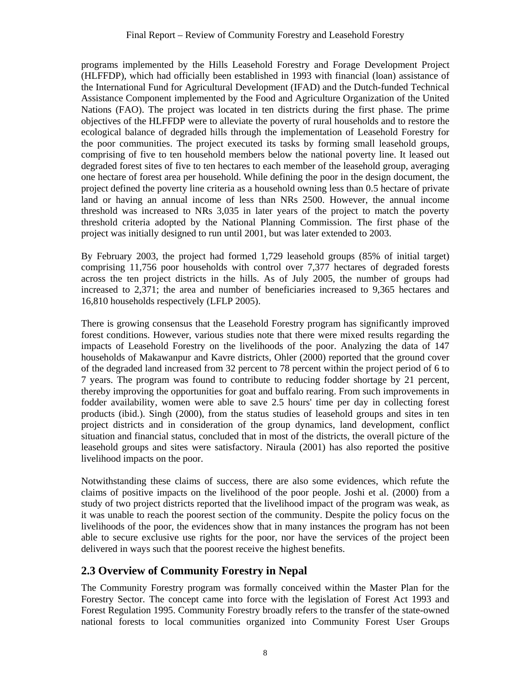programs implemented by the Hills Leasehold Forestry and Forage Development Project (HLFFDP), which had officially been established in 1993 with financial (loan) assistance of the International Fund for Agricultural Development (IFAD) and the Dutch-funded Technical Assistance Component implemented by the Food and Agriculture Organization of the United Nations (FAO). The project was located in ten districts during the first phase. The prime objectives of the HLFFDP were to alleviate the poverty of rural households and to restore the ecological balance of degraded hills through the implementation of Leasehold Forestry for the poor communities. The project executed its tasks by forming small leasehold groups, comprising of five to ten household members below the national poverty line. It leased out degraded forest sites of five to ten hectares to each member of the leasehold group, averaging one hectare of forest area per household. While defining the poor in the design document, the project defined the poverty line criteria as a household owning less than 0.5 hectare of private land or having an annual income of less than NRs 2500. However, the annual income threshold was increased to NRs 3,035 in later years of the project to match the poverty threshold criteria adopted by the National Planning Commission. The first phase of the project was initially designed to run until 2001, but was later extended to 2003.

By February 2003, the project had formed 1,729 leasehold groups (85% of initial target) comprising 11,756 poor households with control over 7,377 hectares of degraded forests across the ten project districts in the hills. As of July 2005, the number of groups had increased to 2,371; the area and number of beneficiaries increased to 9,365 hectares and 16,810 households respectively (LFLP 2005).

There is growing consensus that the Leasehold Forestry program has significantly improved forest conditions. However, various studies note that there were mixed results regarding the impacts of Leasehold Forestry on the livelihoods of the poor. Analyzing the data of 147 households of Makawanpur and Kavre districts, Ohler (2000) reported that the ground cover of the degraded land increased from 32 percent to 78 percent within the project period of 6 to 7 years. The program was found to contribute to reducing fodder shortage by 21 percent, thereby improving the opportunities for goat and buffalo rearing. From such improvements in fodder availability, women were able to save 2.5 hours' time per day in collecting forest products (ibid.). Singh (2000), from the status studies of leasehold groups and sites in ten project districts and in consideration of the group dynamics, land development, conflict situation and financial status, concluded that in most of the districts, the overall picture of the leasehold groups and sites were satisfactory. Niraula (2001) has also reported the positive livelihood impacts on the poor.

Notwithstanding these claims of success, there are also some evidences, which refute the claims of positive impacts on the livelihood of the poor people. Joshi et al. (2000) from a study of two project districts reported that the livelihood impact of the program was weak, as it was unable to reach the poorest section of the community. Despite the policy focus on the livelihoods of the poor, the evidences show that in many instances the program has not been able to secure exclusive use rights for the poor, nor have the services of the project been delivered in ways such that the poorest receive the highest benefits.

### **2.3 Overview of Community Forestry in Nepal**

The Community Forestry program was formally conceived within the Master Plan for the Forestry Sector. The concept came into force with the legislation of Forest Act 1993 and Forest Regulation 1995. Community Forestry broadly refers to the transfer of the state-owned national forests to local communities organized into Community Forest User Groups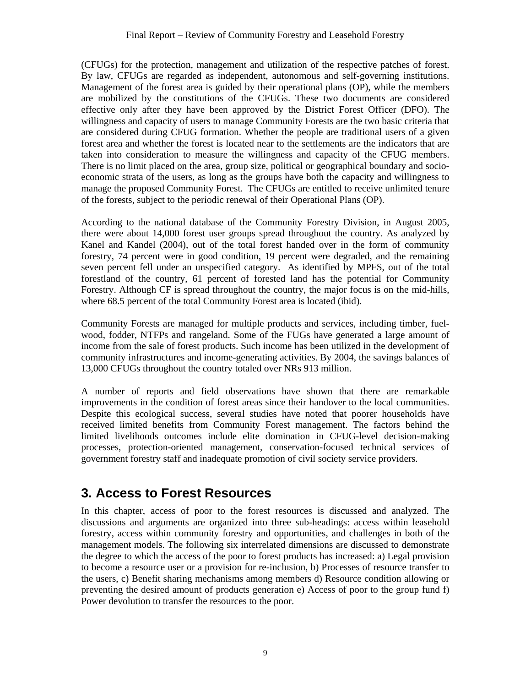(CFUGs) for the protection, management and utilization of the respective patches of forest. By law, CFUGs are regarded as independent, autonomous and self-governing institutions. Management of the forest area is guided by their operational plans (OP), while the members are mobilized by the constitutions of the CFUGs. These two documents are considered effective only after they have been approved by the District Forest Officer (DFO). The willingness and capacity of users to manage Community Forests are the two basic criteria that are considered during CFUG formation. Whether the people are traditional users of a given forest area and whether the forest is located near to the settlements are the indicators that are taken into consideration to measure the willingness and capacity of the CFUG members. There is no limit placed on the area, group size, political or geographical boundary and socioeconomic strata of the users, as long as the groups have both the capacity and willingness to manage the proposed Community Forest. The CFUGs are entitled to receive unlimited tenure of the forests, subject to the periodic renewal of their Operational Plans (OP).

According to the national database of the Community Forestry Division, in August 2005, there were about 14,000 forest user groups spread throughout the country. As analyzed by Kanel and Kandel (2004), out of the total forest handed over in the form of community forestry, 74 percent were in good condition, 19 percent were degraded, and the remaining seven percent fell under an unspecified category. As identified by MPFS, out of the total forestland of the country, 61 percent of forested land has the potential for Community Forestry. Although CF is spread throughout the country, the major focus is on the mid-hills, where 68.5 percent of the total Community Forest area is located (ibid).

Community Forests are managed for multiple products and services, including timber, fuelwood, fodder, NTFPs and rangeland. Some of the FUGs have generated a large amount of income from the sale of forest products. Such income has been utilized in the development of community infrastructures and income-generating activities. By 2004, the savings balances of 13,000 CFUGs throughout the country totaled over NRs 913 million.

A number of reports and field observations have shown that there are remarkable improvements in the condition of forest areas since their handover to the local communities. Despite this ecological success, several studies have noted that poorer households have received limited benefits from Community Forest management. The factors behind the limited livelihoods outcomes include elite domination in CFUG-level decision-making processes, protection-oriented management, conservation-focused technical services of government forestry staff and inadequate promotion of civil society service providers.

## **3. Access to Forest Resources**

In this chapter, access of poor to the forest resources is discussed and analyzed. The discussions and arguments are organized into three sub-headings: access within leasehold forestry, access within community forestry and opportunities, and challenges in both of the management models. The following six interrelated dimensions are discussed to demonstrate the degree to which the access of the poor to forest products has increased: a) Legal provision to become a resource user or a provision for re-inclusion, b) Processes of resource transfer to the users, c) Benefit sharing mechanisms among members d) Resource condition allowing or preventing the desired amount of products generation e) Access of poor to the group fund f) Power devolution to transfer the resources to the poor.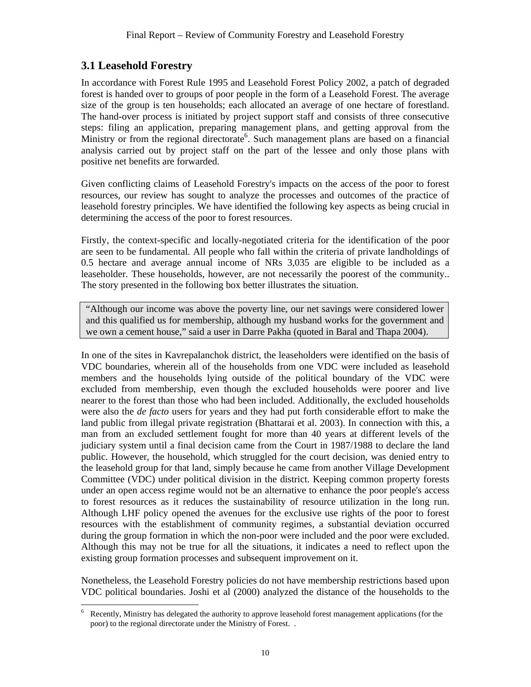## **3.1 Leasehold Forestry**

In accordance with Forest Rule 1995 and Leasehold Forest Policy 2002, a patch of degraded forest is handed over to groups of poor people in the form of a Leasehold Forest. The average size of the group is ten households; each allocated an average of one hectare of forestland. The hand-over process is initiated by project support staff and consists of three consecutive steps: filing an application, preparing management plans, and getting approval from the Ministry or from the regional directorate<sup>6</sup>. Such management plans are based on a financial analysis carried out by project staff on the part of the lessee and only those plans with positive net benefits are forwarded.

Given conflicting claims of Leasehold Forestry's impacts on the access of the poor to forest resources, our review has sought to analyze the processes and outcomes of the practice of leasehold forestry principles. We have identified the following key aspects as being crucial in determining the access of the poor to forest resources.

Firstly, the context-specific and locally-negotiated criteria for the identification of the poor are seen to be fundamental*.* All people who fall within the criteria of private landholdings of 0.5 hectare and average annual income of NRs 3,035 are eligible to be included as a leaseholder. These households, however, are not necessarily the poorest of the community.. The story presented in the following box better illustrates the situation.

"Although our income was above the poverty line, our net savings were considered lower and this qualified us for membership, although my husband works for the government and we own a cement house," said a user in Darre Pakha (quoted in Baral and Thapa 2004).

In one of the sites in Kavrepalanchok district, the leaseholders were identified on the basis of VDC boundaries, wherein all of the households from one VDC were included as leasehold members and the households lying outside of the political boundary of the VDC were excluded from membership, even though the excluded households were poorer and live nearer to the forest than those who had been included. Additionally, the excluded households were also the *de facto* users for years and they had put forth considerable effort to make the land public from illegal private registration (Bhattarai et al. 2003). In connection with this, a man from an excluded settlement fought for more than 40 years at different levels of the judiciary system until a final decision came from the Court in 1987/1988 to declare the land public. However, the household, which struggled for the court decision, was denied entry to the leasehold group for that land, simply because he came from another Village Development Committee (VDC) under political division in the district. Keeping common property forests under an open access regime would not be an alternative to enhance the poor people's access to forest resources as it reduces the sustainability of resource utilization in the long run. Although LHF policy opened the avenues for the exclusive use rights of the poor to forest resources with the establishment of community regimes, a substantial deviation occurred during the group formation in which the non-poor were included and the poor were excluded. Although this may not be true for all the situations, it indicates a need to reflect upon the existing group formation processes and subsequent improvement on it.

Nonetheless, the Leasehold Forestry policies do not have membership restrictions based upon VDC political boundaries. Joshi et al (2000) analyzed the distance of the households to the

 $\overline{a}$ 6 Recently, Ministry has delegated the authority to approve leasehold forest management applications (for the poor) to the regional directorate under the Ministry of Forest. .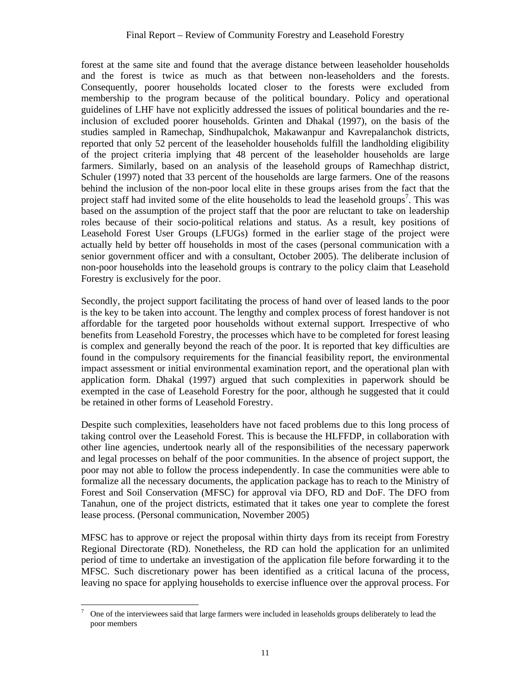forest at the same site and found that the average distance between leaseholder households and the forest is twice as much as that between non-leaseholders and the forests. Consequently, poorer households located closer to the forests were excluded from membership to the program because of the political boundary. Policy and operational guidelines of LHF have not explicitly addressed the issues of political boundaries and the reinclusion of excluded poorer households. Grinten and Dhakal (1997), on the basis of the studies sampled in Ramechap, Sindhupalchok, Makawanpur and Kavrepalanchok districts, reported that only 52 percent of the leaseholder households fulfill the landholding eligibility of the project criteria implying that 48 percent of the leaseholder households are large farmers. Similarly, based on an analysis of the leasehold groups of Ramechhap district, Schuler (1997) noted that 33 percent of the households are large farmers. One of the reasons behind the inclusion of the non-poor local elite in these groups arises from the fact that the project staff had invited some of the elite households to lead the leasehold groups<sup>7</sup>. This was based on the assumption of the project staff that the poor are reluctant to take on leadership roles because of their socio-political relations and status. As a result, key positions of Leasehold Forest User Groups (LFUGs) formed in the earlier stage of the project were actually held by better off households in most of the cases (personal communication with a senior government officer and with a consultant, October 2005). The deliberate inclusion of non-poor households into the leasehold groups is contrary to the policy claim that Leasehold Forestry is exclusively for the poor.

Secondly, the project support facilitating the process of hand over of leased lands to the poor is the key to be taken into account. The lengthy and complex process of forest handover is not affordable for the targeted poor households without external support*.* Irrespective of who benefits from Leasehold Forestry, the processes which have to be completed for forest leasing is complex and generally beyond the reach of the poor. It is reported that key difficulties are found in the compulsory requirements for the financial feasibility report, the environmental impact assessment or initial environmental examination report, and the operational plan with application form. Dhakal (1997) argued that such complexities in paperwork should be exempted in the case of Leasehold Forestry for the poor, although he suggested that it could be retained in other forms of Leasehold Forestry.

Despite such complexities, leaseholders have not faced problems due to this long process of taking control over the Leasehold Forest. This is because the HLFFDP, in collaboration with other line agencies, undertook nearly all of the responsibilities of the necessary paperwork and legal processes on behalf of the poor communities. In the absence of project support, the poor may not able to follow the process independently. In case the communities were able to formalize all the necessary documents, the application package has to reach to the Ministry of Forest and Soil Conservation (MFSC) for approval via DFO, RD and DoF. The DFO from Tanahun, one of the project districts, estimated that it takes one year to complete the forest lease process. (Personal communication, November 2005)

MFSC has to approve or reject the proposal within thirty days from its receipt from Forestry Regional Directorate (RD). Nonetheless, the RD can hold the application for an unlimited period of time to undertake an investigation of the application file before forwarding it to the MFSC. Such discretionary power has been identified as a critical lacuna of the process, leaving no space for applying households to exercise influence over the approval process. For

 $\overline{a}$ 7 One of the interviewees said that large farmers were included in leaseholds groups deliberately to lead the poor members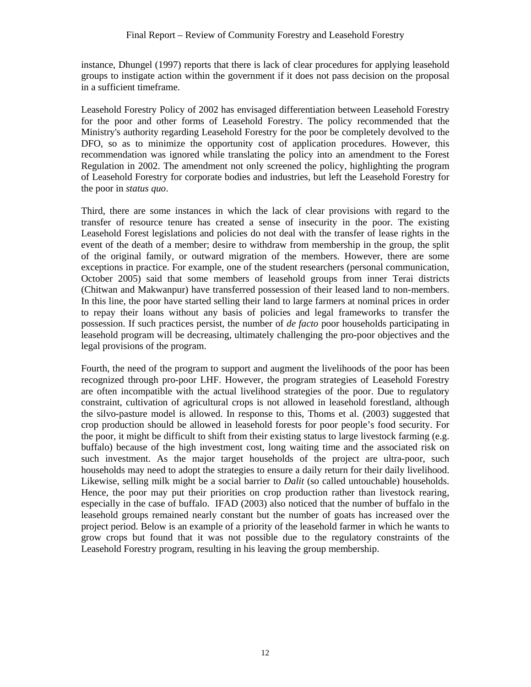instance, Dhungel (1997) reports that there is lack of clear procedures for applying leasehold groups to instigate action within the government if it does not pass decision on the proposal in a sufficient timeframe.

Leasehold Forestry Policy of 2002 has envisaged differentiation between Leasehold Forestry for the poor and other forms of Leasehold Forestry. The policy recommended that the Ministry's authority regarding Leasehold Forestry for the poor be completely devolved to the DFO, so as to minimize the opportunity cost of application procedures. However, this recommendation was ignored while translating the policy into an amendment to the Forest Regulation in 2002. The amendment not only screened the policy, highlighting the program of Leasehold Forestry for corporate bodies and industries, but left the Leasehold Forestry for the poor in *status quo*.

Third, there are some instances in which the lack of clear provisions with regard to the transfer of resource tenure has created a sense of insecurity in the poor. The existing Leasehold Forest legislations and policies do not deal with the transfer of lease rights in the event of the death of a member; desire to withdraw from membership in the group, the split of the original family, or outward migration of the members. However, there are some exceptions in practice. For example, one of the student researchers (personal communication, October 2005) said that some members of leasehold groups from inner Terai districts (Chitwan and Makwanpur) have transferred possession of their leased land to non-members. In this line, the poor have started selling their land to large farmers at nominal prices in order to repay their loans without any basis of policies and legal frameworks to transfer the possession. If such practices persist, the number of *de facto* poor households participating in leasehold program will be decreasing, ultimately challenging the pro-poor objectives and the legal provisions of the program.

Fourth, the need of the program to support and augment the livelihoods of the poor has been recognized through pro-poor LHF. However, the program strategies of Leasehold Forestry are often incompatible with the actual livelihood strategies of the poor. Due to regulatory constraint, cultivation of agricultural crops is not allowed in leasehold forestland, although the silvo-pasture model is allowed. In response to this, Thoms et al. (2003) suggested that crop production should be allowed in leasehold forests for poor people's food security. For the poor, it might be difficult to shift from their existing status to large livestock farming (e.g. buffalo) because of the high investment cost, long waiting time and the associated risk on such investment. As the major target households of the project are ultra-poor, such households may need to adopt the strategies to ensure a daily return for their daily livelihood. Likewise, selling milk might be a social barrier to *Dalit* (so called untouchable) households. Hence, the poor may put their priorities on crop production rather than livestock rearing, especially in the case of buffalo. IFAD (2003) also noticed that the number of buffalo in the leasehold groups remained nearly constant but the number of goats has increased over the project period. Below is an example of a priority of the leasehold farmer in which he wants to grow crops but found that it was not possible due to the regulatory constraints of the Leasehold Forestry program, resulting in his leaving the group membership.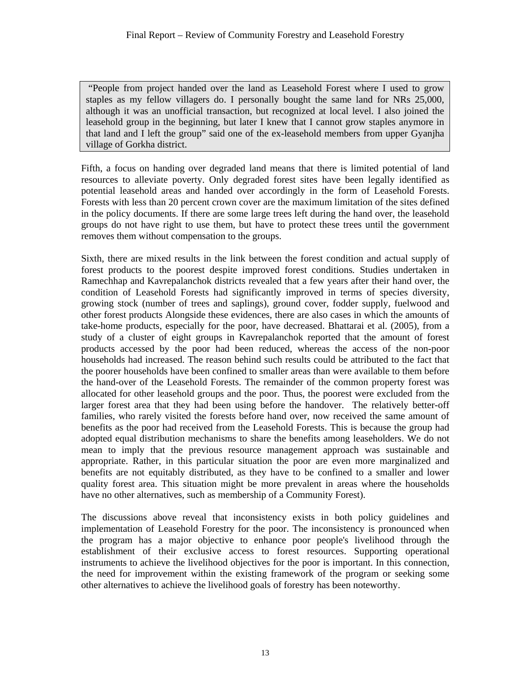"People from project handed over the land as Leasehold Forest where I used to grow staples as my fellow villagers do. I personally bought the same land for NRs 25,000, although it was an unofficial transaction, but recognized at local level. I also joined the leasehold group in the beginning, but later I knew that I cannot grow staples anymore in that land and I left the group" said one of the ex-leasehold members from upper Gyanjha village of Gorkha district.

Fifth, a focus on handing over degraded land means that there is limited potential of land resources to alleviate poverty. Only degraded forest sites have been legally identified as potential leasehold areas and handed over accordingly in the form of Leasehold Forests. Forests with less than 20 percent crown cover are the maximum limitation of the sites defined in the policy documents. If there are some large trees left during the hand over, the leasehold groups do not have right to use them, but have to protect these trees until the government removes them without compensation to the groups.

Sixth, there are mixed results in the link between the forest condition and actual supply of forest products to the poorest despite improved forest conditions*.* Studies undertaken in Ramechhap and Kavrepalanchok districts revealed that a few years after their hand over, the condition of Leasehold Forests had significantly improved in terms of species diversity, growing stock (number of trees and saplings), ground cover, fodder supply, fuelwood and other forest products Alongside these evidences, there are also cases in which the amounts of take-home products, especially for the poor, have decreased. Bhattarai et al. (2005), from a study of a cluster of eight groups in Kavrepalanchok reported that the amount of forest products accessed by the poor had been reduced, whereas the access of the non-poor households had increased. The reason behind such results could be attributed to the fact that the poorer households have been confined to smaller areas than were available to them before the hand-over of the Leasehold Forests. The remainder of the common property forest was allocated for other leasehold groups and the poor. Thus, the poorest were excluded from the larger forest area that they had been using before the handover. The relatively better-off families, who rarely visited the forests before hand over, now received the same amount of benefits as the poor had received from the Leasehold Forests. This is because the group had adopted equal distribution mechanisms to share the benefits among leaseholders. We do not mean to imply that the previous resource management approach was sustainable and appropriate. Rather, in this particular situation the poor are even more marginalized and benefits are not equitably distributed, as they have to be confined to a smaller and lower quality forest area. This situation might be more prevalent in areas where the households have no other alternatives, such as membership of a Community Forest).

The discussions above reveal that inconsistency exists in both policy guidelines and implementation of Leasehold Forestry for the poor. The inconsistency is pronounced when the program has a major objective to enhance poor people's livelihood through the establishment of their exclusive access to forest resources. Supporting operational instruments to achieve the livelihood objectives for the poor is important. In this connection, the need for improvement within the existing framework of the program or seeking some other alternatives to achieve the livelihood goals of forestry has been noteworthy.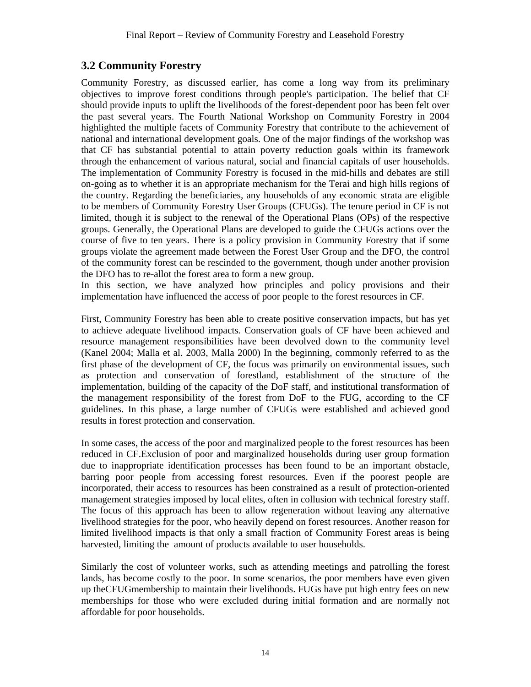### **3.2 Community Forestry**

Community Forestry, as discussed earlier, has come a long way from its preliminary objectives to improve forest conditions through people's participation. The belief that CF should provide inputs to uplift the livelihoods of the forest-dependent poor has been felt over the past several years. The Fourth National Workshop on Community Forestry in 2004 highlighted the multiple facets of Community Forestry that contribute to the achievement of national and international development goals. One of the major findings of the workshop was that CF has substantial potential to attain poverty reduction goals within its framework through the enhancement of various natural, social and financial capitals of user households. The implementation of Community Forestry is focused in the mid-hills and debates are still on-going as to whether it is an appropriate mechanism for the Terai and high hills regions of the country. Regarding the beneficiaries, any households of any economic strata are eligible to be members of Community Forestry User Groups (CFUGs). The tenure period in CF is not limited, though it is subject to the renewal of the Operational Plans (OPs) of the respective groups. Generally, the Operational Plans are developed to guide the CFUGs actions over the course of five to ten years. There is a policy provision in Community Forestry that if some groups violate the agreement made between the Forest User Group and the DFO, the control of the community forest can be rescinded to the government, though under another provision the DFO has to re-allot the forest area to form a new group.

In this section, we have analyzed how principles and policy provisions and their implementation have influenced the access of poor people to the forest resources in CF.

First, Community Forestry has been able to create positive conservation impacts, but has yet to achieve adequate livelihood impacts*.* Conservation goals of CF have been achieved and resource management responsibilities have been devolved down to the community level (Kanel 2004; Malla et al. 2003, Malla 2000) In the beginning, commonly referred to as the first phase of the development of CF, the focus was primarily on environmental issues, such as protection and conservation of forestland, establishment of the structure of the implementation, building of the capacity of the DoF staff, and institutional transformation of the management responsibility of the forest from DoF to the FUG, according to the CF guidelines. In this phase, a large number of CFUGs were established and achieved good results in forest protection and conservation.

In some cases, the access of the poor and marginalized people to the forest resources has been reduced in CF.Exclusion of poor and marginalized households during user group formation due to inappropriate identification processes has been found to be an important obstacle, barring poor people from accessing forest resources. Even if the poorest people are incorporated, their access to resources has been constrained as a result of protection-oriented management strategies imposed by local elites, often in collusion with technical forestry staff. The focus of this approach has been to allow regeneration without leaving any alternative livelihood strategies for the poor, who heavily depend on forest resources. Another reason for limited livelihood impacts is that only a small fraction of Community Forest areas is being harvested, limiting the amount of products available to user households.

Similarly the cost of volunteer works, such as attending meetings and patrolling the forest lands, has become costly to the poor. In some scenarios, the poor members have even given up theCFUGmembership to maintain their livelihoods. FUGs have put high entry fees on new memberships for those who were excluded during initial formation and are normally not affordable for poor households.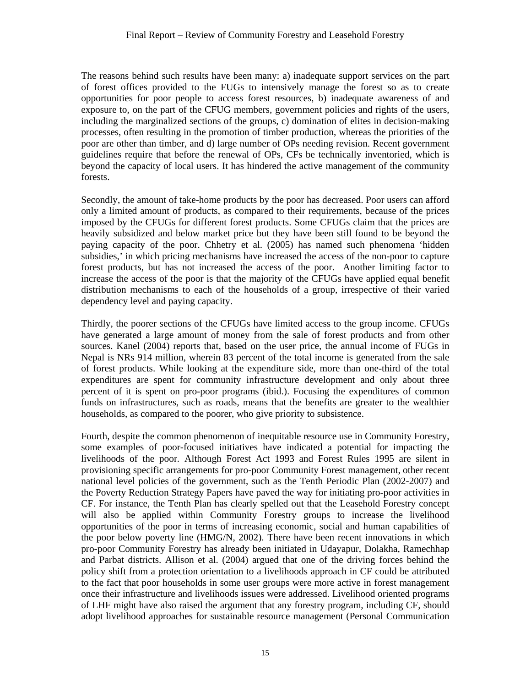The reasons behind such results have been many: a) inadequate support services on the part of forest offices provided to the FUGs to intensively manage the forest so as to create opportunities for poor people to access forest resources, b) inadequate awareness of and exposure to, on the part of the CFUG members, government policies and rights of the users, including the marginalized sections of the groups, c) domination of elites in decision-making processes, often resulting in the promotion of timber production, whereas the priorities of the poor are other than timber, and d) large number of OPs needing revision. Recent government guidelines require that before the renewal of OPs, CFs be technically inventoried, which is beyond the capacity of local users. It has hindered the active management of the community forests.

Secondly, the amount of take-home products by the poor has decreased. Poor users can afford only a limited amount of products, as compared to their requirements, because of the prices imposed by the CFUGs for different forest products. Some CFUGs claim that the prices are heavily subsidized and below market price but they have been still found to be beyond the paying capacity of the poor. Chhetry et al. (2005) has named such phenomena 'hidden subsidies,' in which pricing mechanisms have increased the access of the non-poor to capture forest products, but has not increased the access of the poor. Another limiting factor to increase the access of the poor is that the majority of the CFUGs have applied equal benefit distribution mechanisms to each of the households of a group, irrespective of their varied dependency level and paying capacity.

Thirdly, the poorer sections of the CFUGs have limited access to the group income. CFUGs have generated a large amount of money from the sale of forest products and from other sources. Kanel (2004) reports that, based on the user price, the annual income of FUGs in Nepal is NRs 914 million, wherein 83 percent of the total income is generated from the sale of forest products. While looking at the expenditure side, more than one-third of the total expenditures are spent for community infrastructure development and only about three percent of it is spent on pro-poor programs (ibid.). Focusing the expenditures of common funds on infrastructures, such as roads, means that the benefits are greater to the wealthier households, as compared to the poorer, who give priority to subsistence.

Fourth, despite the common phenomenon of inequitable resource use in Community Forestry, some examples of poor-focused initiatives have indicated a potential for impacting the livelihoods of the poor*.* Although Forest Act 1993 and Forest Rules 1995 are silent in provisioning specific arrangements for pro-poor Community Forest management, other recent national level policies of the government, such as the Tenth Periodic Plan (2002-2007) and the Poverty Reduction Strategy Papers have paved the way for initiating pro-poor activities in CF. For instance, the Tenth Plan has clearly spelled out that the Leasehold Forestry concept will also be applied within Community Forestry groups to increase the livelihood opportunities of the poor in terms of increasing economic, social and human capabilities of the poor below poverty line (HMG/N, 2002). There have been recent innovations in which pro-poor Community Forestry has already been initiated in Udayapur, Dolakha, Ramechhap and Parbat districts. Allison et al. (2004) argued that one of the driving forces behind the policy shift from a protection orientation to a livelihoods approach in CF could be attributed to the fact that poor households in some user groups were more active in forest management once their infrastructure and livelihoods issues were addressed. Livelihood oriented programs of LHF might have also raised the argument that any forestry program, including CF, should adopt livelihood approaches for sustainable resource management (Personal Communication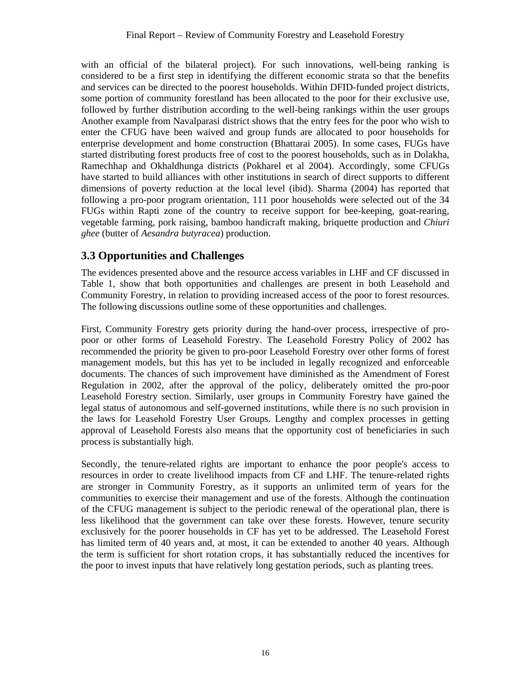with an official of the bilateral project). For such innovations, well-being ranking is considered to be a first step in identifying the different economic strata so that the benefits and services can be directed to the poorest households. Within DFID-funded project districts, some portion of community forestland has been allocated to the poor for their exclusive use, followed by further distribution according to the well-being rankings within the user groups Another example from Navalparasi district shows that the entry fees for the poor who wish to enter the CFUG have been waived and group funds are allocated to poor households for enterprise development and home construction (Bhattarai 2005). In some cases, FUGs have started distributing forest products free of cost to the poorest households, such as in Dolakha, Ramechhap and Okhaldhunga districts (Pokharel et al 2004). Accordingly, some CFUGs have started to build alliances with other institutions in search of direct supports to different dimensions of poverty reduction at the local level (ibid). Sharma (2004) has reported that following a pro-poor program orientation, 111 poor households were selected out of the 34 FUGs within Rapti zone of the country to receive support for bee-keeping, goat-rearing, vegetable farming, pork raising, bamboo handicraft making, briquette production and *Chiuri ghee* (butter of *Aesandra butyracea*) production.

## **3.3 Opportunities and Challenges**

The evidences presented above and the resource access variables in LHF and CF discussed in Table 1, show that both opportunities and challenges are present in both Leasehold and Community Forestry, in relation to providing increased access of the poor to forest resources. The following discussions outline some of these opportunities and challenges.

First, Community Forestry gets priority during the hand-over process, irrespective of propoor or other forms of Leasehold Forestry. The Leasehold Forestry Policy of 2002 has recommended the priority be given to pro-poor Leasehold Forestry over other forms of forest management models, but this has yet to be included in legally recognized and enforceable documents. The chances of such improvement have diminished as the Amendment of Forest Regulation in 2002, after the approval of the policy, deliberately omitted the pro-poor Leasehold Forestry section. Similarly, user groups in Community Forestry have gained the legal status of autonomous and self-governed institutions, while there is no such provision in the laws for Leasehold Forestry User Groups. Lengthy and complex processes in getting approval of Leasehold Forests also means that the opportunity cost of beneficiaries in such process is substantially high.

Secondly, the tenure-related rights are important to enhance the poor people's access to resources in order to create livelihood impacts from CF and LHF. The tenure-related rights are stronger in Community Forestry, as it supports an unlimited term of years for the communities to exercise their management and use of the forests. Although the continuation of the CFUG management is subject to the periodic renewal of the operational plan, there is less likelihood that the government can take over these forests. However, tenure security exclusively for the poorer households in CF has yet to be addressed. The Leasehold Forest has limited term of 40 years and, at most, it can be extended to another 40 years. Although the term is sufficient for short rotation crops, it has substantially reduced the incentives for the poor to invest inputs that have relatively long gestation periods, such as planting trees.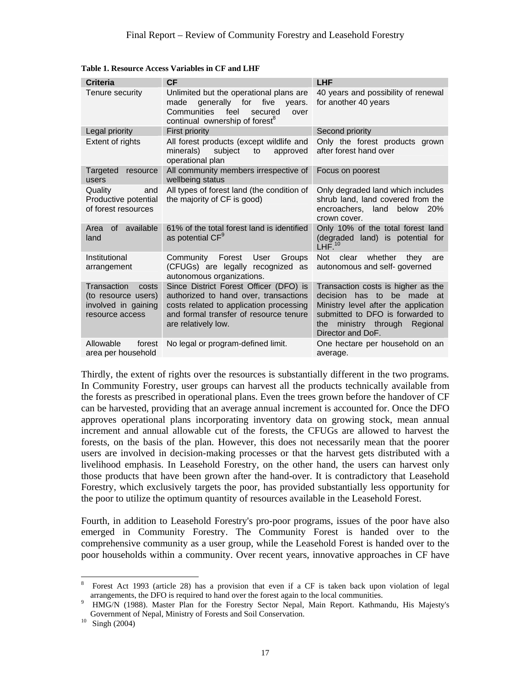| <b>Criteria</b>                                                                       | <b>CF</b>                                                                                                                                                                                   | <b>LHF</b>                                                                                                                                                                                                        |  |
|---------------------------------------------------------------------------------------|---------------------------------------------------------------------------------------------------------------------------------------------------------------------------------------------|-------------------------------------------------------------------------------------------------------------------------------------------------------------------------------------------------------------------|--|
| Tenure security                                                                       | Unlimited but the operational plans are<br>generally for<br>five<br>made<br>years.<br>Communities<br>feel<br>secured<br>over<br>continual ownership of forest <sup>8</sup>                  | 40 years and possibility of renewal<br>for another 40 years                                                                                                                                                       |  |
| Legal priority                                                                        | <b>First priority</b>                                                                                                                                                                       | Second priority                                                                                                                                                                                                   |  |
| Extent of rights                                                                      | All forest products (except wildlife and<br>minerals)<br>subject<br>to<br>approved<br>operational plan                                                                                      | Only the forest products grown<br>after forest hand over                                                                                                                                                          |  |
| Targeted<br>resource<br>users                                                         | All community members irrespective of<br>wellbeing status                                                                                                                                   | Focus on poorest                                                                                                                                                                                                  |  |
| Quality<br>and<br>Productive potential<br>of forest resources                         | All types of forest land (the condition of<br>the majority of CF is good)                                                                                                                   | Only degraded land which includes<br>shrub land, land covered from the<br>encroachers, land below 20%<br>crown cover.                                                                                             |  |
| available<br><sub>of</sub><br>Area<br>land                                            | 61% of the total forest land is identified<br>as potential $CF9$                                                                                                                            | Only 10% of the total forest land<br>(degraded land) is potential for<br>LHF <sup>10</sup>                                                                                                                        |  |
| Institutional<br>arrangement                                                          | Community<br>Forest<br>User<br>Groups<br>(CFUGs) are legally recognized as<br>autonomous organizations.                                                                                     | whether<br><b>Not</b><br>they<br>clear<br>are<br>autonomous and self- governed                                                                                                                                    |  |
| Transaction<br>costs<br>(to resource users)<br>involved in gaining<br>resource access | Since District Forest Officer (DFO) is<br>authorized to hand over, transactions<br>costs related to application processing<br>and formal transfer of resource tenure<br>are relatively low. | Transaction costs is higher as the<br>decision<br>has to<br>be made<br>at<br>Ministry level after the application<br>submitted to DFO is forwarded to<br>the<br>ministry through<br>Regional<br>Director and DoF. |  |
| Allowable<br>forest<br>area per household                                             | No legal or program-defined limit.                                                                                                                                                          | One hectare per household on an<br>average.                                                                                                                                                                       |  |

**Table 1. Resource Access Variables in CF and LHF** 

Thirdly, the extent of rights over the resources is substantially different in the two programs*.* In Community Forestry, user groups can harvest all the products technically available from the forests as prescribed in operational plans. Even the trees grown before the handover of CF can be harvested, providing that an average annual increment is accounted for. Once the DFO approves operational plans incorporating inventory data on growing stock, mean annual increment and annual allowable cut of the forests, the CFUGs are allowed to harvest the forests, on the basis of the plan. However, this does not necessarily mean that the poorer users are involved in decision-making processes or that the harvest gets distributed with a livelihood emphasis. In Leasehold Forestry, on the other hand, the users can harvest only those products that have been grown after the hand-over. It is contradictory that Leasehold Forestry, which exclusively targets the poor, has provided substantially less opportunity for the poor to utilize the optimum quantity of resources available in the Leasehold Forest.

Fourth, in addition to Leasehold Forestry's pro-poor programs, issues of the poor have also emerged in Community Forestry. The Community Forest is handed over to the comprehensive community as a user group, while the Leasehold Forest is handed over to the poor households within a community. Over recent years, innovative approaches in CF have

 $\overline{a}$ 

<sup>8</sup> Forest Act 1993 (article 28) has a provision that even if a CF is taken back upon violation of legal arrangements, the DFO is required to hand over the forest again to the local communities. 9

HMG/N (1988). Master Plan for the Forestry Sector Nepal, Main Report. Kathmandu, His Majesty's Government of Nepal, Ministry of Forests and Soil Conservation.<br>
Singh (2004)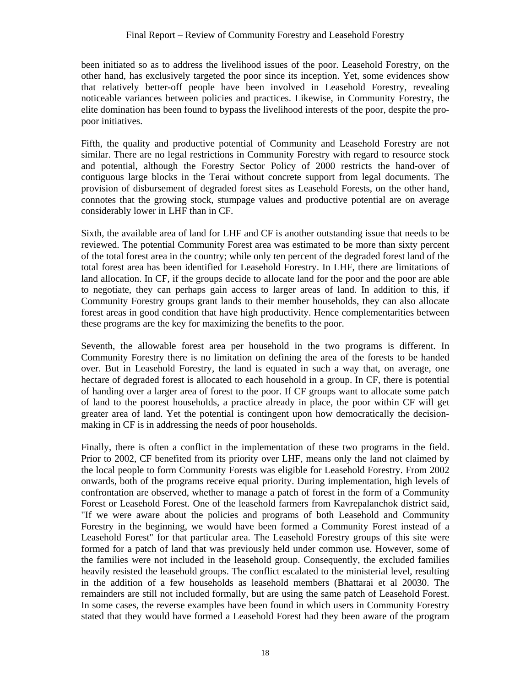been initiated so as to address the livelihood issues of the poor. Leasehold Forestry, on the other hand, has exclusively targeted the poor since its inception. Yet, some evidences show that relatively better-off people have been involved in Leasehold Forestry, revealing noticeable variances between policies and practices. Likewise, in Community Forestry, the elite domination has been found to bypass the livelihood interests of the poor, despite the propoor initiatives.

Fifth, the quality and productive potential of Community and Leasehold Forestry are not similar. There are no legal restrictions in Community Forestry with regard to resource stock and potential, although the Forestry Sector Policy of 2000 restricts the hand-over of contiguous large blocks in the Terai without concrete support from legal documents. The provision of disbursement of degraded forest sites as Leasehold Forests, on the other hand, connotes that the growing stock, stumpage values and productive potential are on average considerably lower in LHF than in CF.

Sixth, the available area of land for LHF and CF is another outstanding issue that needs to be reviewed. The potential Community Forest area was estimated to be more than sixty percent of the total forest area in the country; while only ten percent of the degraded forest land of the total forest area has been identified for Leasehold Forestry. In LHF, there are limitations of land allocation. In CF, if the groups decide to allocate land for the poor and the poor are able to negotiate, they can perhaps gain access to larger areas of land. In addition to this, if Community Forestry groups grant lands to their member households, they can also allocate forest areas in good condition that have high productivity. Hence complementarities between these programs are the key for maximizing the benefits to the poor.

Seventh, the allowable forest area per household in the two programs is different. In Community Forestry there is no limitation on defining the area of the forests to be handed over. But in Leasehold Forestry, the land is equated in such a way that, on average, one hectare of degraded forest is allocated to each household in a group. In CF, there is potential of handing over a larger area of forest to the poor. If CF groups want to allocate some patch of land to the poorest households, a practice already in place, the poor within CF will get greater area of land. Yet the potential is contingent upon how democratically the decisionmaking in CF is in addressing the needs of poor households.

Finally, there is often a conflict in the implementation of these two programs in the field. Prior to 2002, CF benefited from its priority over LHF, means only the land not claimed by the local people to form Community Forests was eligible for Leasehold Forestry. From 2002 onwards, both of the programs receive equal priority. During implementation, high levels of confrontation are observed, whether to manage a patch of forest in the form of a Community Forest or Leasehold Forest. One of the leasehold farmers from Kavrepalanchok district said, "If we were aware about the policies and programs of both Leasehold and Community Forestry in the beginning, we would have been formed a Community Forest instead of a Leasehold Forest" for that particular area. The Leasehold Forestry groups of this site were formed for a patch of land that was previously held under common use. However, some of the families were not included in the leasehold group. Consequently, the excluded families heavily resisted the leasehold groups. The conflict escalated to the ministerial level, resulting in the addition of a few households as leasehold members (Bhattarai et al 20030. The remainders are still not included formally, but are using the same patch of Leasehold Forest. In some cases, the reverse examples have been found in which users in Community Forestry stated that they would have formed a Leasehold Forest had they been aware of the program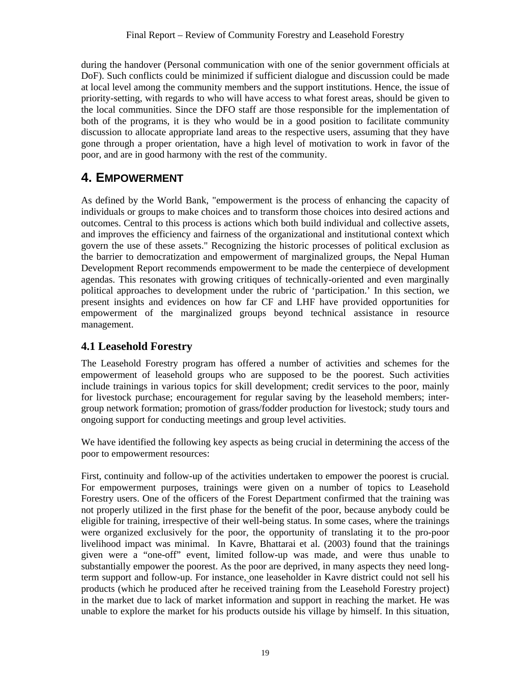during the handover (Personal communication with one of the senior government officials at DoF). Such conflicts could be minimized if sufficient dialogue and discussion could be made at local level among the community members and the support institutions. Hence, the issue of priority-setting, with regards to who will have access to what forest areas, should be given to the local communities. Since the DFO staff are those responsible for the implementation of both of the programs, it is they who would be in a good position to facilitate community discussion to allocate appropriate land areas to the respective users, assuming that they have gone through a proper orientation, have a high level of motivation to work in favor of the poor, and are in good harmony with the rest of the community.

## **4. EMPOWERMENT**

As defined by the World Bank, "empowerment is the process of enhancing the capacity of individuals or groups to make choices and to transform those choices into desired actions and outcomes. Central to this process is actions which both build individual and collective assets, and improves the efficiency and fairness of the organizational and institutional context which govern the use of these assets." Recognizing the historic processes of political exclusion as the barrier to democratization and empowerment of marginalized groups, the Nepal Human Development Report recommends empowerment to be made the centerpiece of development agendas. This resonates with growing critiques of technically-oriented and even marginally political approaches to development under the rubric of 'participation.' In this section, we present insights and evidences on how far CF and LHF have provided opportunities for empowerment of the marginalized groups beyond technical assistance in resource management.

## **4.1 Leasehold Forestry**

The Leasehold Forestry program has offered a number of activities and schemes for the empowerment of leasehold groups who are supposed to be the poorest. Such activities include trainings in various topics for skill development; credit services to the poor, mainly for livestock purchase; encouragement for regular saving by the leasehold members; intergroup network formation; promotion of grass/fodder production for livestock; study tours and ongoing support for conducting meetings and group level activities.

We have identified the following key aspects as being crucial in determining the access of the poor to empowerment resources:

First, continuity and follow-up of the activities undertaken to empower the poorest is crucial*.*  For empowerment purposes, trainings were given on a number of topics to Leasehold Forestry users. One of the officers of the Forest Department confirmed that the training was not properly utilized in the first phase for the benefit of the poor, because anybody could be eligible for training, irrespective of their well-being status. In some cases, where the trainings were organized exclusively for the poor, the opportunity of translating it to the pro-poor livelihood impact was minimal. In Kavre, Bhattarai et al. (2003) found that the trainings given were a "one-off" event, limited follow-up was made, and were thus unable to substantially empower the poorest. As the poor are deprived, in many aspects they need longterm support and follow-up. For instance, one leaseholder in Kavre district could not sell his products (which he produced after he received training from the Leasehold Forestry project) in the market due to lack of market information and support in reaching the market. He was unable to explore the market for his products outside his village by himself. In this situation,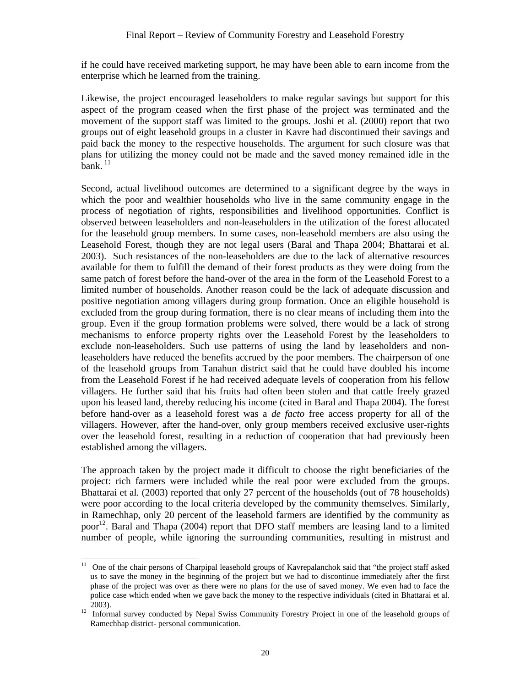if he could have received marketing support, he may have been able to earn income from the enterprise which he learned from the training.

Likewise, the project encouraged leaseholders to make regular savings but support for this aspect of the program ceased when the first phase of the project was terminated and the movement of the support staff was limited to the groups. Joshi et al. (2000) report that two groups out of eight leasehold groups in a cluster in Kavre had discontinued their savings and paid back the money to the respective households. The argument for such closure was that plans for utilizing the money could not be made and the saved money remained idle in the  $\hat{\mathbf{b}}$ ank.  $^{11}$ 

Second, actual livelihood outcomes are determined to a significant degree by the ways in which the poor and wealthier households who live in the same community engage in the process of negotiation of rights, responsibilities and livelihood opportunities*.* Conflict is observed between leaseholders and non-leaseholders in the utilization of the forest allocated for the leasehold group members. In some cases, non-leasehold members are also using the Leasehold Forest, though they are not legal users (Baral and Thapa 2004; Bhattarai et al. 2003). Such resistances of the non-leaseholders are due to the lack of alternative resources available for them to fulfill the demand of their forest products as they were doing from the same patch of forest before the hand-over of the area in the form of the Leasehold Forest to a limited number of households. Another reason could be the lack of adequate discussion and positive negotiation among villagers during group formation. Once an eligible household is excluded from the group during formation, there is no clear means of including them into the group. Even if the group formation problems were solved, there would be a lack of strong mechanisms to enforce property rights over the Leasehold Forest by the leaseholders to exclude non-leaseholders. Such use patterns of using the land by leaseholders and nonleaseholders have reduced the benefits accrued by the poor members. The chairperson of one of the leasehold groups from Tanahun district said that he could have doubled his income from the Leasehold Forest if he had received adequate levels of cooperation from his fellow villagers. He further said that his fruits had often been stolen and that cattle freely grazed upon his leased land, thereby reducing his income (cited in Baral and Thapa 2004). The forest before hand-over as a leasehold forest was a *de facto* free access property for all of the villagers. However, after the hand-over, only group members received exclusive user-rights over the leasehold forest, resulting in a reduction of cooperation that had previously been established among the villagers.

The approach taken by the project made it difficult to choose the right beneficiaries of the project: rich farmers were included while the real poor were excluded from the groups. Bhattarai et al*.* (2003) reported that only 27 percent of the households (out of 78 households) were poor according to the local criteria developed by the community themselves. Similarly, in Ramechhap, only 20 percent of the leasehold farmers are identified by the community as poor<sup>12</sup>. Baral and Thapa (2004) report that DFO staff members are leasing land to a limited number of people, while ignoring the surrounding communities, resulting in mistrust and

 $11$ 11 One of the chair persons of Charpipal leasehold groups of Kavrepalanchok said that "the project staff asked us to save the money in the beginning of the project but we had to discontinue immediately after the first phase of the project was over as there were no plans for the use of saved money. We even had to face the police case which ended when we gave back the money to the respective individuals (cited in Bhattarai et al.

<sup>2003). 12</sup> Informal survey conducted by Nepal Swiss Community Forestry Project in one of the leasehold groups of Ramechhap district- personal communication.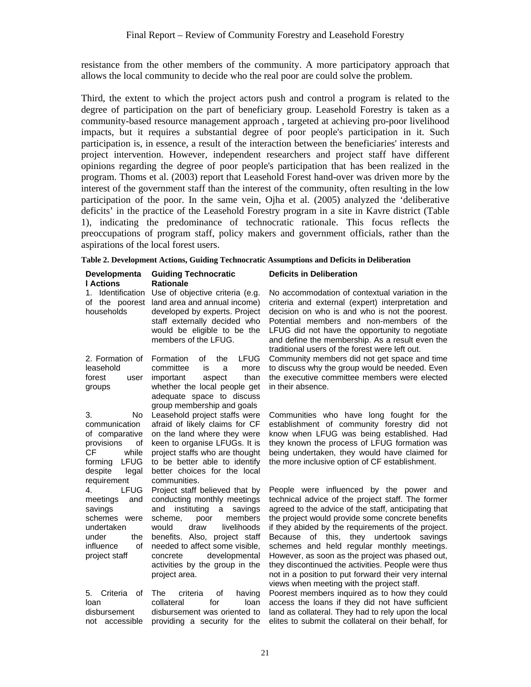resistance from the other members of the community. A more participatory approach that allows the local community to decide who the real poor are could solve the problem.

Third, the extent to which the project actors push and control a program is related to the degree of participation on the part of beneficiary group. Leasehold Forestry is taken as a community-based resource management approach , targeted at achieving pro-poor livelihood impacts, but it requires a substantial degree of poor people's participation in it. Such participation is, in essence, a result of the interaction between the beneficiaries' interests and project intervention. However, independent researchers and project staff have different opinions regarding the degree of poor people's participation that has been realized in the program. Thoms et al. (2003) report that Leasehold Forest hand-over was driven more by the interest of the government staff than the interest of the community, often resulting in the low participation of the poor. In the same vein, Ojha et al. (2005) analyzed the 'deliberative deficits' in the practice of the Leasehold Forestry program in a site in Kavre district (Table 1), indicating the predominance of technocratic rationale. This focus reflects the preoccupations of program staff, policy makers and government officials, rather than the aspirations of the local forest users.

|  |  | Table 2. Development Actions, Guiding Technocratic Assumptions and Deficits in Deliberation |  |
|--|--|---------------------------------------------------------------------------------------------|--|
|  |  |                                                                                             |  |

| Developmenta<br><b>I</b> Actions                                                                                                             | <b>Guiding Technocratic</b><br><b>Rationale</b>                                                                                                                                                                                                                                                                      | <b>Deficits in Deliberation</b>                                                                                                                                                                                                                                                                                                                                                                                                                                                                                                                                        |  |
|----------------------------------------------------------------------------------------------------------------------------------------------|----------------------------------------------------------------------------------------------------------------------------------------------------------------------------------------------------------------------------------------------------------------------------------------------------------------------|------------------------------------------------------------------------------------------------------------------------------------------------------------------------------------------------------------------------------------------------------------------------------------------------------------------------------------------------------------------------------------------------------------------------------------------------------------------------------------------------------------------------------------------------------------------------|--|
| 1. Identification<br>of the poorest<br>households                                                                                            | Use of objective criteria (e.g.<br>land area and annual income)<br>developed by experts. Project<br>staff externally decided who<br>would be eligible to be the<br>members of the LFUG.                                                                                                                              | No accommodation of contextual variation in the<br>criteria and external (expert) interpretation and<br>decision on who is and who is not the poorest.<br>Potential members and non-members of the<br>LFUG did not have the opportunity to negotiate<br>and define the membership. As a result even the<br>traditional users of the forest were left out.                                                                                                                                                                                                              |  |
| 2. Formation of<br>leasehold<br>forest<br>user<br>groups                                                                                     | <b>LFUG</b><br>Formation<br>of<br>the<br>committee<br>is<br>more<br>a<br>important<br>than<br>aspect<br>whether the local people get<br>adequate space to discuss<br>group membership and goals                                                                                                                      | Community members did not get space and time<br>to discuss why the group would be needed. Even<br>the executive committee members were elected<br>in their absence.                                                                                                                                                                                                                                                                                                                                                                                                    |  |
| 3.<br>No.<br>communication<br>of comparative<br>provisions<br>οf<br>while<br>СF<br><b>LFUG</b><br>forming<br>despite<br>legal<br>requirement | Leasehold project staffs were<br>afraid of likely claims for CF<br>on the land where they were<br>keen to organise LFUGs. It is<br>project staffs who are thought<br>to be better able to identify<br>better choices for the local<br>communities.                                                                   | Communities who have long fought for the<br>establishment of community forestry did not<br>know when LFUG was being established. Had<br>they known the process of LFUG formation was<br>being undertaken, they would have claimed for<br>the more inclusive option of CF establishment.                                                                                                                                                                                                                                                                                |  |
| <b>LFUG</b><br>4.<br>and<br>meetings<br>savings<br>schemes were<br>undertaken<br>the<br>under<br>influence<br>οf<br>project staff            | Project staff believed that by<br>conducting monthly meetings<br>instituting<br>and<br>a<br>savings<br>poor<br>scheme,<br>members<br>would<br>draw<br>livelihoods<br>benefits. Also, project staff<br>needed to affect some visible,<br>developmental<br>concrete<br>activities by the group in the<br>project area. | People were influenced by the power and<br>technical advice of the project staff. The former<br>agreed to the advice of the staff, anticipating that<br>the project would provide some concrete benefits<br>if they abided by the requirements of the project.<br>Because of this, they undertook savings<br>schemes and held regular monthly meetings.<br>However, as soon as the project was phased out,<br>they discontinued the activities. People were thus<br>not in a position to put forward their very internal<br>views when meeting with the project staff. |  |
| Criteria<br>5.<br>οf<br>loan<br>disbursement<br>accessible<br>not                                                                            | The<br>of<br>criteria<br>having<br>collateral<br>for<br>loan<br>disbursement was oriented to<br>providing a security for the                                                                                                                                                                                         | Poorest members inquired as to how they could<br>access the loans if they did not have sufficient<br>land as collateral. They had to rely upon the local<br>elites to submit the collateral on their behalf, for                                                                                                                                                                                                                                                                                                                                                       |  |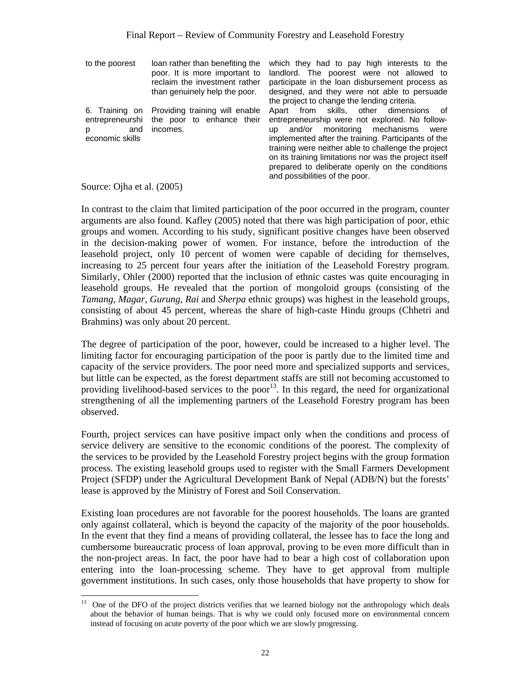| to the poorest                                 | loan rather than benefiting the<br>poor. It is more important to<br>reclaim the investment rather | which they had to pay high interests to the<br>landlord. The poorest were not allowed to<br>participate in the loan disbursement process as                                                                                                                                                                                                                                                         |
|------------------------------------------------|---------------------------------------------------------------------------------------------------|-----------------------------------------------------------------------------------------------------------------------------------------------------------------------------------------------------------------------------------------------------------------------------------------------------------------------------------------------------------------------------------------------------|
|                                                | than genuinely help the poor.                                                                     | designed, and they were not able to persuade<br>the project to change the lending criteria.                                                                                                                                                                                                                                                                                                         |
| entrepreneurshi<br>and<br>p<br>economic skills | 6. Training on Providing training will enable<br>the poor to enhance their<br>incomes.            | Apart from skills, other dimensions of<br>entrepreneurship were not explored. No follow-<br>and/or monitoring mechanisms<br>were<br>up<br>implemented after the training. Participants of the<br>training were neither able to challenge the project<br>on its training limitations nor was the project itself<br>prepared to deliberate openly on the conditions<br>and possibilities of the poor. |

Source: Ojha et al. (2005)

 $\overline{a}$ 

In contrast to the claim that limited participation of the poor occurred in the program, counter arguments are also found. Kafley (2005) noted that there was high participation of poor, ethic groups and women. According to his study, significant positive changes have been observed in the decision-making power of women. For instance, before the introduction of the leasehold project, only 10 percent of women were capable of deciding for themselves, increasing to 25 percent four years after the initiation of the Leasehold Forestry program. Similarly, Ohler (2000) reported that the inclusion of ethnic castes was quite encouraging in leasehold groups. He revealed that the portion of mongoloid groups (consisting of the *Tamang*, *Magar*, *Gurung*, *Rai* and *Sherpa* ethnic groups) was highest in the leasehold groups, consisting of about 45 percent, whereas the share of high-caste Hindu groups (Chhetri and Brahmins) was only about 20 percent.

The degree of participation of the poor, however, could be increased to a higher level. The limiting factor for encouraging participation of the poor is partly due to the limited time and capacity of the service providers. The poor need more and specialized supports and services, but little can be expected, as the forest department staffs are still not becoming accustomed to providing livelihood-based services to the poor<sup>13</sup>. In this regard, the need for organizational strengthening of all the implementing partners of the Leasehold Forestry program has been observed.

Fourth, project services can have positive impact only when the conditions and process of service delivery are sensitive to the economic conditions of the poorest*.* The complexity of the services to be provided by the Leasehold Forestry project begins with the group formation process. The existing leasehold groups used to register with the Small Farmers Development Project (SFDP) under the Agricultural Development Bank of Nepal (ADB/N) but the forests' lease is approved by the Ministry of Forest and Soil Conservation.

Existing loan procedures are not favorable for the poorest households. The loans are granted only against collateral, which is beyond the capacity of the majority of the poor households. In the event that they find a means of providing collateral, the lessee has to face the long and cumbersome bureaucratic process of loan approval, proving to be even more difficult than in the non-project areas. In fact, the poor have had to bear a high cost of collaboration upon entering into the loan-processing scheme. They have to get approval from multiple government institutions. In such cases, only those households that have property to show for

 $13$  One of the DFO of the project districts verifies that we learned biology not the anthropology which deals about the behavior of human beings. That is why we could only focused more on environmental concern instead of focusing on acute poverty of the poor which we are slowly progressing.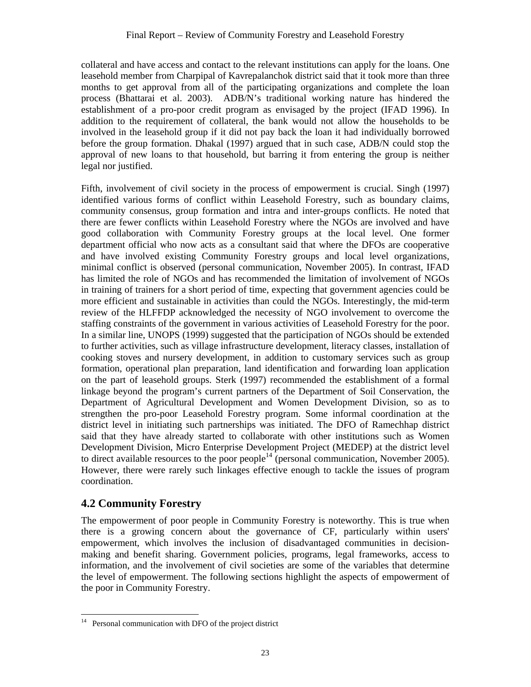collateral and have access and contact to the relevant institutions can apply for the loans. One leasehold member from Charpipal of Kavrepalanchok district said that it took more than three months to get approval from all of the participating organizations and complete the loan process (Bhattarai et al. 2003). ADB/N's traditional working nature has hindered the establishment of a pro-poor credit program as envisaged by the project (IFAD 1996). In addition to the requirement of collateral, the bank would not allow the households to be involved in the leasehold group if it did not pay back the loan it had individually borrowed before the group formation. Dhakal (1997) argued that in such case, ADB/N could stop the approval of new loans to that household, but barring it from entering the group is neither legal nor justified.

Fifth, involvement of civil society in the process of empowerment is crucial. Singh (1997) identified various forms of conflict within Leasehold Forestry, such as boundary claims, community consensus, group formation and intra and inter-groups conflicts. He noted that there are fewer conflicts within Leasehold Forestry where the NGOs are involved and have good collaboration with Community Forestry groups at the local level. One former department official who now acts as a consultant said that where the DFOs are cooperative and have involved existing Community Forestry groups and local level organizations, minimal conflict is observed (personal communication, November 2005). In contrast, IFAD has limited the role of NGOs and has recommended the limitation of involvement of NGOs in training of trainers for a short period of time, expecting that government agencies could be more efficient and sustainable in activities than could the NGOs. Interestingly, the mid-term review of the HLFFDP acknowledged the necessity of NGO involvement to overcome the staffing constraints of the government in various activities of Leasehold Forestry for the poor. In a similar line, UNOPS (1999) suggested that the participation of NGOs should be extended to further activities, such as village infrastructure development, literacy classes, installation of cooking stoves and nursery development, in addition to customary services such as group formation, operational plan preparation, land identification and forwarding loan application on the part of leasehold groups. Sterk (1997) recommended the establishment of a formal linkage beyond the program's current partners of the Department of Soil Conservation, the Department of Agricultural Development and Women Development Division, so as to strengthen the pro-poor Leasehold Forestry program. Some informal coordination at the district level in initiating such partnerships was initiated. The DFO of Ramechhap district said that they have already started to collaborate with other institutions such as Women Development Division, Micro Enterprise Development Project (MEDEP) at the district level to direct available resources to the poor people<sup>14</sup> (personal communication, November 2005). However, there were rarely such linkages effective enough to tackle the issues of program coordination.

## **4.2 Community Forestry**

The empowerment of poor people in Community Forestry is noteworthy. This is true when there is a growing concern about the governance of CF, particularly within users' empowerment, which involves the inclusion of disadvantaged communities in decisionmaking and benefit sharing. Government policies, programs, legal frameworks, access to information, and the involvement of civil societies are some of the variables that determine the level of empowerment. The following sections highlight the aspects of empowerment of the poor in Community Forestry.

 $14\phantom{.}$ Personal communication with DFO of the project district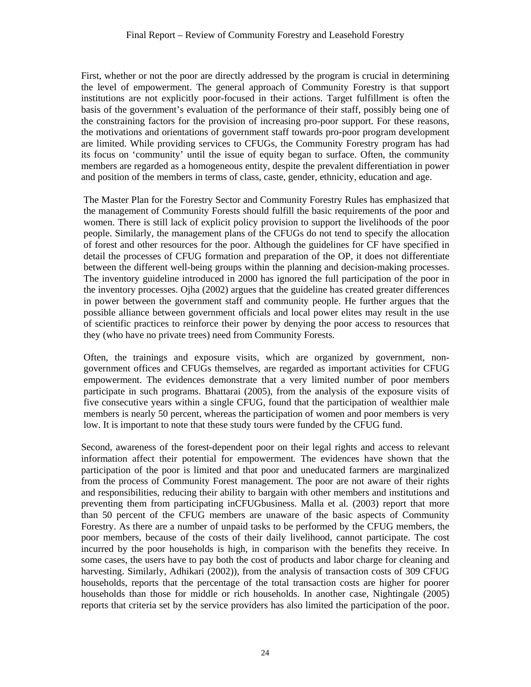First, whether or not the poor are directly addressed by the program is crucial in determining the level of empowerment. The general approach of Community Forestry is that support institutions are not explicitly poor-focused in their actions. Target fulfillment is often the basis of the government's evaluation of the performance of their staff, possibly being one of the constraining factors for the provision of increasing pro-poor support. For these reasons, the motivations and orientations of government staff towards pro-poor program development are limited. While providing services to CFUGs, the Community Forestry program has had its focus on 'community' until the issue of equity began to surface. Often, the community members are regarded as a homogeneous entity, despite the prevalent differentiation in power and position of the members in terms of class, caste, gender, ethnicity, education and age.

The Master Plan for the Forestry Sector and Community Forestry Rules has emphasized that the management of Community Forests should fulfill the basic requirements of the poor and women. There is still lack of explicit policy provision to support the livelihoods of the poor people. Similarly, the management plans of the CFUGs do not tend to specify the allocation of forest and other resources for the poor. Although the guidelines for CF have specified in detail the processes of CFUG formation and preparation of the OP, it does not differentiate between the different well-being groups within the planning and decision-making processes. The inventory guideline introduced in 2000 has ignored the full participation of the poor in the inventory processes. Ojha (2002) argues that the guideline has created greater differences in power between the government staff and community people. He further argues that the possible alliance between government officials and local power elites may result in the use of scientific practices to reinforce their power by denying the poor access to resources that they (who have no private trees) need from Community Forests.

Often, the trainings and exposure visits, which are organized by government, nongovernment offices and CFUGs themselves, are regarded as important activities for CFUG empowerment. The evidences demonstrate that a very limited number of poor members participate in such programs. Bhattarai (2005), from the analysis of the exposure visits of five consecutive years within a single CFUG, found that the participation of wealthier male members is nearly 50 percent, whereas the participation of women and poor members is very low. It is important to note that these study tours were funded by the CFUG fund.

Second, awareness of the forest-dependent poor on their legal rights and access to relevant information affect their potential for empowerment*.* The evidences have shown that the participation of the poor is limited and that poor and uneducated farmers are marginalized from the process of Community Forest management. The poor are not aware of their rights and responsibilities, reducing their ability to bargain with other members and institutions and preventing them from participating inCFUGbusiness. Malla et al*.* (2003) report that more than 50 percent of the CFUG members are unaware of the basic aspects of Community Forestry. As there are a number of unpaid tasks to be performed by the CFUG members, the poor members, because of the costs of their daily livelihood, cannot participate. The cost incurred by the poor households is high, in comparison with the benefits they receive. In some cases, the users have to pay both the cost of products and labor charge for cleaning and harvesting. Similarly, Adhikari (2002)), from the analysis of transaction costs of 309 CFUG households, reports that the percentage of the total transaction costs are higher for poorer households than those for middle or rich households. In another case, Nightingale (2005) reports that criteria set by the service providers has also limited the participation of the poor.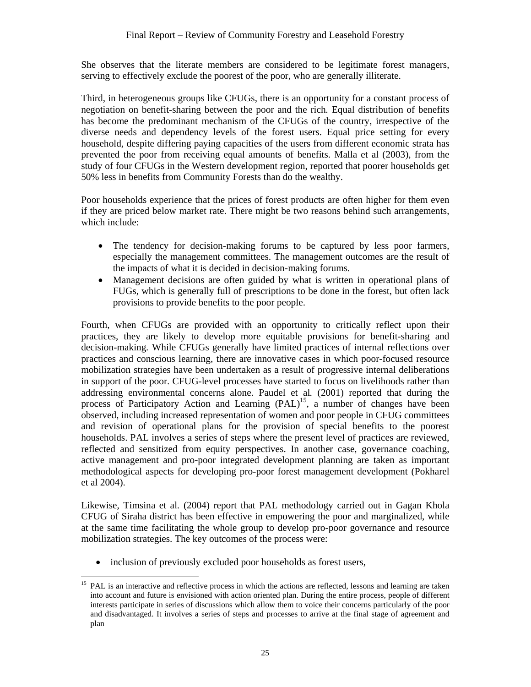She observes that the literate members are considered to be legitimate forest managers, serving to effectively exclude the poorest of the poor, who are generally illiterate.

Third, in heterogeneous groups like CFUGs, there is an opportunity for a constant process of negotiation on benefit-sharing between the poor and the rich*.* Equal distribution of benefits has become the predominant mechanism of the CFUGs of the country, irrespective of the diverse needs and dependency levels of the forest users. Equal price setting for every household, despite differing paying capacities of the users from different economic strata has prevented the poor from receiving equal amounts of benefits. Malla et al (2003), from the study of four CFUGs in the Western development region, reported that poorer households get 50% less in benefits from Community Forests than do the wealthy.

Poor households experience that the prices of forest products are often higher for them even if they are priced below market rate. There might be two reasons behind such arrangements, which include:

- The tendency for decision-making forums to be captured by less poor farmers, especially the management committees. The management outcomes are the result of the impacts of what it is decided in decision-making forums.
- Management decisions are often guided by what is written in operational plans of FUGs, which is generally full of prescriptions to be done in the forest, but often lack provisions to provide benefits to the poor people.

Fourth, when CFUGs are provided with an opportunity to critically reflect upon their practices, they are likely to develop more equitable provisions for benefit-sharing and decision-making*.* While CFUGs generally have limited practices of internal reflections over practices and conscious learning, there are innovative cases in which poor-focused resource mobilization strategies have been undertaken as a result of progressive internal deliberations in support of the poor. CFUG-level processes have started to focus on livelihoods rather than addressing environmental concerns alone. Paudel et al*.* (2001) reported that during the process of Participatory Action and Learning  $(PAL)^{15}$ , a number of changes have been observed, including increased representation of women and poor people in CFUG committees and revision of operational plans for the provision of special benefits to the poorest households. PAL involves a series of steps where the present level of practices are reviewed, reflected and sensitized from equity perspectives. In another case, governance coaching, active management and pro-poor integrated development planning are taken as important methodological aspects for developing pro-poor forest management development (Pokharel et al 2004).

Likewise, Timsina et al*.* (2004) report that PAL methodology carried out in Gagan Khola CFUG of Siraha district has been effective in empowering the poor and marginalized, while at the same time facilitating the whole group to develop pro-poor governance and resource mobilization strategies. The key outcomes of the process were:

• inclusion of previously excluded poor households as forest users,

 $\overline{a}$ <sup>15</sup> PAL is an interactive and reflective process in which the actions are reflected, lessons and learning are taken into account and future is envisioned with action oriented plan. During the entire process, people of different interests participate in series of discussions which allow them to voice their concerns particularly of the poor and disadvantaged. It involves a series of steps and processes to arrive at the final stage of agreement and plan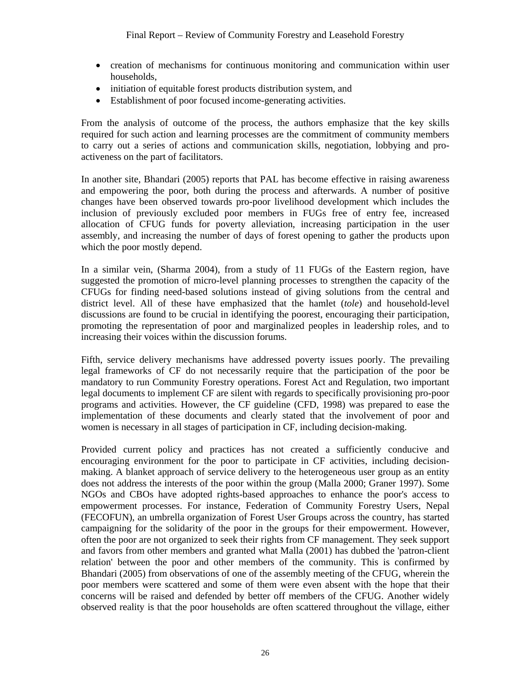- creation of mechanisms for continuous monitoring and communication within user households,
- initiation of equitable forest products distribution system, and
- Establishment of poor focused income-generating activities.

From the analysis of outcome of the process, the authors emphasize that the key skills required for such action and learning processes are the commitment of community members to carry out a series of actions and communication skills, negotiation, lobbying and proactiveness on the part of facilitators.

In another site, Bhandari (2005) reports that PAL has become effective in raising awareness and empowering the poor, both during the process and afterwards. A number of positive changes have been observed towards pro-poor livelihood development which includes the inclusion of previously excluded poor members in FUGs free of entry fee, increased allocation of CFUG funds for poverty alleviation, increasing participation in the user assembly, and increasing the number of days of forest opening to gather the products upon which the poor mostly depend.

In a similar vein, (Sharma 2004), from a study of 11 FUGs of the Eastern region, have suggested the promotion of micro-level planning processes to strengthen the capacity of the CFUGs for finding need-based solutions instead of giving solutions from the central and district level. All of these have emphasized that the hamlet (*tole*) and household-level discussions are found to be crucial in identifying the poorest, encouraging their participation, promoting the representation of poor and marginalized peoples in leadership roles, and to increasing their voices within the discussion forums.

Fifth, service delivery mechanisms have addressed poverty issues poorly. The prevailing legal frameworks of CF do not necessarily require that the participation of the poor be mandatory to run Community Forestry operations. Forest Act and Regulation, two important legal documents to implement CF are silent with regards to specifically provisioning pro-poor programs and activities. However, the CF guideline (CFD, 1998) was prepared to ease the implementation of these documents and clearly stated that the involvement of poor and women is necessary in all stages of participation in CF, including decision-making.

Provided current policy and practices has not created a sufficiently conducive and encouraging environment for the poor to participate in CF activities, including decisionmaking. A blanket approach of service delivery to the heterogeneous user group as an entity does not address the interests of the poor within the group (Malla 2000; Graner 1997). Some NGOs and CBOs have adopted rights-based approaches to enhance the poor's access to empowerment processes. For instance, Federation of Community Forestry Users, Nepal (FECOFUN), an umbrella organization of Forest User Groups across the country, has started campaigning for the solidarity of the poor in the groups for their empowerment. However, often the poor are not organized to seek their rights from CF management. They seek support and favors from other members and granted what Malla (2001) has dubbed the 'patron-client relation' between the poor and other members of the community. This is confirmed by Bhandari (2005) from observations of one of the assembly meeting of the CFUG, wherein the poor members were scattered and some of them were even absent with the hope that their concerns will be raised and defended by better off members of the CFUG. Another widely observed reality is that the poor households are often scattered throughout the village, either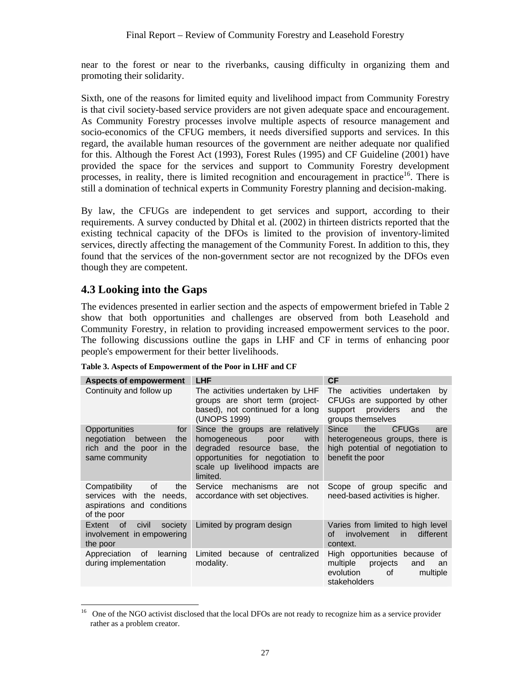near to the forest or near to the riverbanks, causing difficulty in organizing them and promoting their solidarity.

Sixth, one of the reasons for limited equity and livelihood impact from Community Forestry is that civil society-based service providers are not given adequate space and encouragement. As Community Forestry processes involve multiple aspects of resource management and socio-economics of the CFUG members, it needs diversified supports and services. In this regard, the available human resources of the government are neither adequate nor qualified for this. Although the Forest Act (1993), Forest Rules (1995) and CF Guideline (2001) have provided the space for the services and support to Community Forestry development processes, in reality, there is limited recognition and encouragement in practice<sup>16</sup>. There is still a domination of technical experts in Community Forestry planning and decision-making.

By law, the CFUGs are independent to get services and support, according to their requirements. A survey conducted by Dhital et al*.* (2002) in thirteen districts reported that the existing technical capacity of the DFOs is limited to the provision of inventory-limited services, directly affecting the management of the Community Forest. In addition to this, they found that the services of the non-government sector are not recognized by the DFOs even though they are competent.

### **4.3 Looking into the Gaps**

The evidences presented in earlier section and the aspects of empowerment briefed in Table 2 show that both opportunities and challenges are observed from both Leasehold and Community Forestry, in relation to providing increased empowerment services to the poor. The following discussions outline the gaps in LHF and CF in terms of enhancing poor people's empowerment for their better livelihoods.

| <b>Aspects of empowerment</b>                                                                           | <b>LHF</b>                                                                                                                                                                          | <b>CF</b>                                                                                                                                                                                                                                                                                                                                     |
|---------------------------------------------------------------------------------------------------------|-------------------------------------------------------------------------------------------------------------------------------------------------------------------------------------|-----------------------------------------------------------------------------------------------------------------------------------------------------------------------------------------------------------------------------------------------------------------------------------------------------------------------------------------------|
| Continuity and follow up                                                                                | The activities undertaken by LHF<br>groups are short term (project-<br>based), not continued for a long<br>(UNOPS 1999)                                                             | <b>The</b><br>activities undertaken<br>bv<br>CFUGs are supported by other<br>providers<br>support<br>and<br>the<br>groups themselves                                                                                                                                                                                                          |
| <b>Opportunities</b><br>for<br>negotiation between<br>the<br>rich and the poor in the<br>same community | Since the groups are relatively<br>with<br>homogeneous<br>poor<br>degraded resource base,<br>the<br>opportunities for negotiation to<br>scale up livelihood impacts are<br>limited. | Since<br>the<br><b>CFUGs</b><br>are<br>heterogeneous groups, there is<br>high potential of negotiation to<br>benefit the poor                                                                                                                                                                                                                 |
| of<br>Compatibility<br>the<br>services with<br>the needs,<br>aspirations and conditions<br>of the poor  | Service<br>mechanisms are<br>not<br>accordance with set objectives.                                                                                                                 | Scope of group specific and<br>need-based activities is higher.                                                                                                                                                                                                                                                                               |
| Extent<br>of<br>civil<br>society<br>involvement in empowering<br>the poor                               | Limited by program design                                                                                                                                                           | Varies from limited to high level<br>involvement<br>different<br><i>in</i><br>of l<br>context.                                                                                                                                                                                                                                                |
| Appreciation of<br>learning<br>during implementation                                                    | Limited because of centralized<br>modality.                                                                                                                                         | High opportunities because of<br>multiple<br>projects<br>and<br>an<br>evolution<br>of the contract of the contract of the contract of the contract of the contract of the contract of the contract of the contract of the contract of the contract of the contract of the contract of the contract of the contrac<br>multiple<br>stakeholders |

| Table 3. Aspects of Empowerment of the Poor in LHF and CF |  |  |
|-----------------------------------------------------------|--|--|
|-----------------------------------------------------------|--|--|

 $\overline{a}$ <sup>16</sup> One of the NGO activist disclosed that the local DFOs are not ready to recognize him as a service provider rather as a problem creator.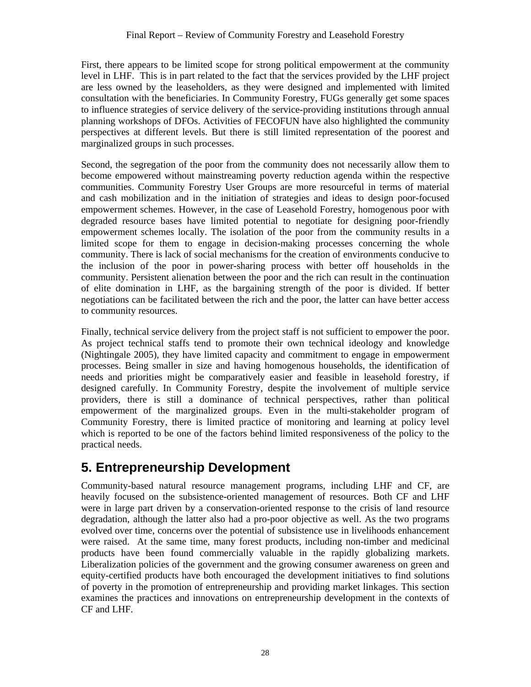First, there appears to be limited scope for strong political empowerment at the community level in LHF. This is in part related to the fact that the services provided by the LHF project are less owned by the leaseholders, as they were designed and implemented with limited consultation with the beneficiaries. In Community Forestry, FUGs generally get some spaces to influence strategies of service delivery of the service-providing institutions through annual planning workshops of DFOs. Activities of FECOFUN have also highlighted the community perspectives at different levels. But there is still limited representation of the poorest and marginalized groups in such processes.

Second, the segregation of the poor from the community does not necessarily allow them to become empowered without mainstreaming poverty reduction agenda within the respective communities. Community Forestry User Groups are more resourceful in terms of material and cash mobilization and in the initiation of strategies and ideas to design poor-focused empowerment schemes. However, in the case of Leasehold Forestry, homogenous poor with degraded resource bases have limited potential to negotiate for designing poor-friendly empowerment schemes locally. The isolation of the poor from the community results in a limited scope for them to engage in decision-making processes concerning the whole community. There is lack of social mechanisms for the creation of environments conducive to the inclusion of the poor in power-sharing process with better off households in the community. Persistent alienation between the poor and the rich can result in the continuation of elite domination in LHF, as the bargaining strength of the poor is divided. If better negotiations can be facilitated between the rich and the poor, the latter can have better access to community resources.

Finally, technical service delivery from the project staff is not sufficient to empower the poor. As project technical staffs tend to promote their own technical ideology and knowledge (Nightingale 2005), they have limited capacity and commitment to engage in empowerment processes. Being smaller in size and having homogenous households, the identification of needs and priorities might be comparatively easier and feasible in leasehold forestry, if designed carefully. In Community Forestry, despite the involvement of multiple service providers, there is still a dominance of technical perspectives, rather than political empowerment of the marginalized groups. Even in the multi-stakeholder program of Community Forestry, there is limited practice of monitoring and learning at policy level which is reported to be one of the factors behind limited responsiveness of the policy to the practical needs.

## **5. Entrepreneurship Development**

Community-based natural resource management programs, including LHF and CF, are heavily focused on the subsistence-oriented management of resources. Both CF and LHF were in large part driven by a conservation-oriented response to the crisis of land resource degradation, although the latter also had a pro-poor objective as well. As the two programs evolved over time, concerns over the potential of subsistence use in livelihoods enhancement were raised. At the same time, many forest products, including non-timber and medicinal products have been found commercially valuable in the rapidly globalizing markets. Liberalization policies of the government and the growing consumer awareness on green and equity-certified products have both encouraged the development initiatives to find solutions of poverty in the promotion of entrepreneurship and providing market linkages. This section examines the practices and innovations on entrepreneurship development in the contexts of CF and LHF.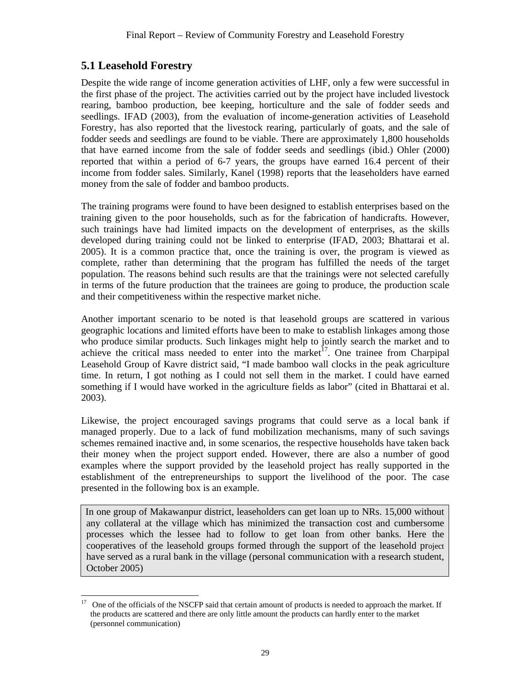### **5.1 Leasehold Forestry**

Despite the wide range of income generation activities of LHF, only a few were successful in the first phase of the project. The activities carried out by the project have included livestock rearing, bamboo production, bee keeping, horticulture and the sale of fodder seeds and seedlings. IFAD (2003), from the evaluation of income-generation activities of Leasehold Forestry, has also reported that the livestock rearing, particularly of goats, and the sale of fodder seeds and seedlings are found to be viable. There are approximately 1,800 households that have earned income from the sale of fodder seeds and seedlings (ibid.) Ohler (2000) reported that within a period of 6-7 years, the groups have earned 16.4 percent of their income from fodder sales. Similarly, Kanel (1998) reports that the leaseholders have earned money from the sale of fodder and bamboo products.

The training programs were found to have been designed to establish enterprises based on the training given to the poor households, such as for the fabrication of handicrafts. However, such trainings have had limited impacts on the development of enterprises, as the skills developed during training could not be linked to enterprise (IFAD, 2003; Bhattarai et al. 2005). It is a common practice that, once the training is over, the program is viewed as complete, rather than determining that the program has fulfilled the needs of the target population. The reasons behind such results are that the trainings were not selected carefully in terms of the future production that the trainees are going to produce, the production scale and their competitiveness within the respective market niche.

Another important scenario to be noted is that leasehold groups are scattered in various geographic locations and limited efforts have been to make to establish linkages among those who produce similar products. Such linkages might help to jointly search the market and to achieve the critical mass needed to enter into the market<sup>17</sup>. One trainee from Charpipal Leasehold Group of Kavre district said, "I made bamboo wall clocks in the peak agriculture time. In return, I got nothing as I could not sell them in the market. I could have earned something if I would have worked in the agriculture fields as labor" (cited in Bhattarai et al. 2003).

Likewise, the project encouraged savings programs that could serve as a local bank if managed properly. Due to a lack of fund mobilization mechanisms, many of such savings schemes remained inactive and, in some scenarios, the respective households have taken back their money when the project support ended. However, there are also a number of good examples where the support provided by the leasehold project has really supported in the establishment of the entrepreneurships to support the livelihood of the poor. The case presented in the following box is an example.

In one group of Makawanpur district, leaseholders can get loan up to NRs. 15,000 without any collateral at the village which has minimized the transaction cost and cumbersome processes which the lessee had to follow to get loan from other banks. Here the cooperatives of the leasehold groups formed through the support of the leasehold project have served as a rural bank in the village (personal communication with a research student, October 2005)

<sup>17</sup> 17 One of the officials of the NSCFP said that certain amount of products is needed to approach the market. If the products are scattered and there are only little amount the products can hardly enter to the market (personnel communication)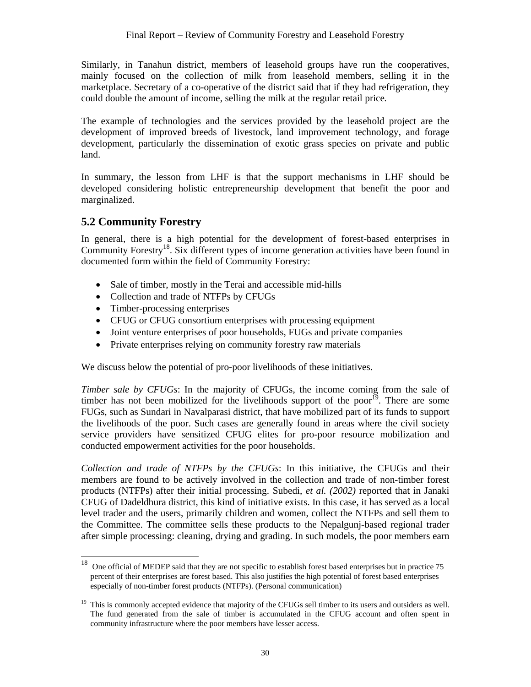Similarly, in Tanahun district, members of leasehold groups have run the cooperatives, mainly focused on the collection of milk from leasehold members, selling it in the marketplace. Secretary of a co-operative of the district said that if they had refrigeration, they could double the amount of income, selling the milk at the regular retail price*.*

The example of technologies and the services provided by the leasehold project are the development of improved breeds of livestock, land improvement technology, and forage development, particularly the dissemination of exotic grass species on private and public land.

In summary, the lesson from LHF is that the support mechanisms in LHF should be developed considering holistic entrepreneurship development that benefit the poor and marginalized.

### **5.2 Community Forestry**

In general, there is a high potential for the development of forest-based enterprises in Community Forestry<sup>18</sup>. Six different types of income generation activities have been found in documented form within the field of Community Forestry:

- Sale of timber, mostly in the Terai and accessible mid-hills
- Collection and trade of NTFPs by CFUGs
- Timber-processing enterprises
- CFUG or CFUG consortium enterprises with processing equipment
- Joint venture enterprises of poor households, FUGs and private companies
- Private enterprises relying on community forestry raw materials

We discuss below the potential of pro-poor livelihoods of these initiatives.

*Timber sale by CFUGs*: In the majority of CFUGs, the income coming from the sale of timber has not been mobilized for the livelihoods support of the poor<sup>19</sup>. There are some FUGs, such as Sundari in Navalparasi district, that have mobilized part of its funds to support the livelihoods of the poor. Such cases are generally found in areas where the civil society service providers have sensitized CFUG elites for pro-poor resource mobilization and conducted empowerment activities for the poor households.

*Collection and trade of NTFPs by the CFUGs*: In this initiative, the CFUGs and their members are found to be actively involved in the collection and trade of non-timber forest products (NTFPs) after their initial processing. Subedi, *et al. (2002)* reported that in Janaki CFUG of Dadeldhura district, this kind of initiative exists. In this case, it has served as a local level trader and the users, primarily children and women, collect the NTFPs and sell them to the Committee. The committee sells these products to the Nepalgunj-based regional trader after simple processing: cleaning, drying and grading. In such models, the poor members earn

 $18\,$ 18 One official of MEDEP said that they are not specific to establish forest based enterprises but in practice 75 percent of their enterprises are forest based. This also justifies the high potential of forest based enterprises especially of non-timber forest products (NTFPs). (Personal communication)

 $19$  This is commonly accepted evidence that majority of the CFUGs sell timber to its users and outsiders as well. The fund generated from the sale of timber is accumulated in the CFUG account and often spent in community infrastructure where the poor members have lesser access.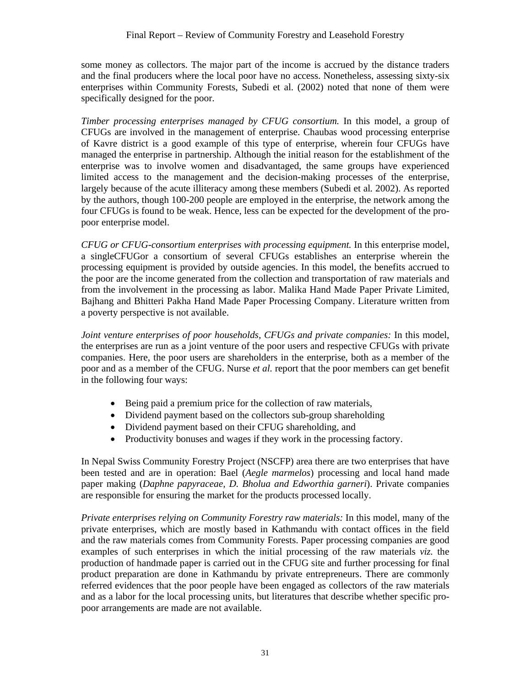some money as collectors. The major part of the income is accrued by the distance traders and the final producers where the local poor have no access. Nonetheless, assessing sixty-six enterprises within Community Forests, Subedi et al. (2002) noted that none of them were specifically designed for the poor.

*Timber processing enterprises managed by CFUG consortium.* In this model, a group of CFUGs are involved in the management of enterprise. Chaubas wood processing enterprise of Kavre district is a good example of this type of enterprise, wherein four CFUGs have managed the enterprise in partnership. Although the initial reason for the establishment of the enterprise was to involve women and disadvantaged, the same groups have experienced limited access to the management and the decision-making processes of the enterprise, largely because of the acute illiteracy among these members (Subedi et al*.* 2002). As reported by the authors, though 100-200 people are employed in the enterprise, the network among the four CFUGs is found to be weak. Hence, less can be expected for the development of the propoor enterprise model.

*CFUG or CFUG-consortium enterprises with processing equipment.* In this enterprise model, a singleCFUGor a consortium of several CFUGs establishes an enterprise wherein the processing equipment is provided by outside agencies. In this model, the benefits accrued to the poor are the income generated from the collection and transportation of raw materials and from the involvement in the processing as labor. Malika Hand Made Paper Private Limited, Bajhang and Bhitteri Pakha Hand Made Paper Processing Company. Literature written from a poverty perspective is not available.

*Joint venture enterprises of poor households, CFUGs and private companies: In this model,* the enterprises are run as a joint venture of the poor users and respective CFUGs with private companies. Here, the poor users are shareholders in the enterprise, both as a member of the poor and as a member of the CFUG. Nurse *et al.* report that the poor members can get benefit in the following four ways:

- Being paid a premium price for the collection of raw materials,
- Dividend payment based on the collectors sub-group shareholding
- Dividend payment based on their CFUG shareholding, and
- Productivity bonuses and wages if they work in the processing factory.

In Nepal Swiss Community Forestry Project (NSCFP) area there are two enterprises that have been tested and are in operation: Bael (*Aegle marmelos*) processing and local hand made paper making (*Daphne papyraceae, D. Bholua and Edworthia garneri*). Private companies are responsible for ensuring the market for the products processed locally.

*Private enterprises relying on Community Forestry raw materials:* In this model, many of the private enterprises, which are mostly based in Kathmandu with contact offices in the field and the raw materials comes from Community Forests. Paper processing companies are good examples of such enterprises in which the initial processing of the raw materials *viz.* the production of handmade paper is carried out in the CFUG site and further processing for final product preparation are done in Kathmandu by private entrepreneurs. There are commonly referred evidences that the poor people have been engaged as collectors of the raw materials and as a labor for the local processing units, but literatures that describe whether specific propoor arrangements are made are not available.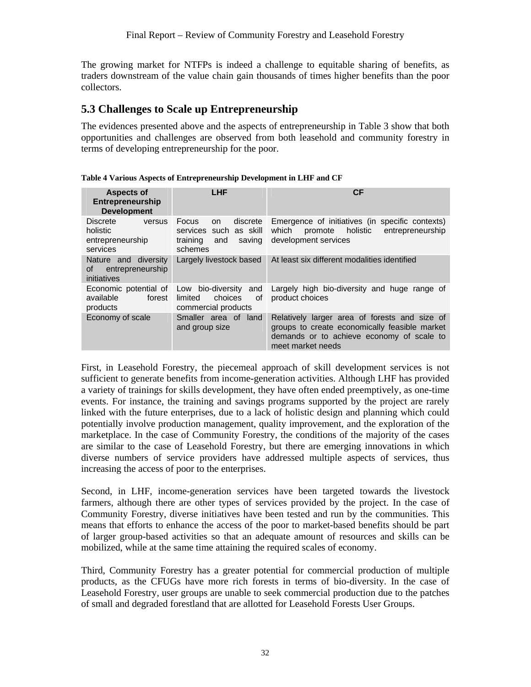The growing market for NTFPs is indeed a challenge to equitable sharing of benefits, as traders downstream of the value chain gain thousands of times higher benefits than the poor collectors.

### **5.3 Challenges to Scale up Entrepreneurship**

The evidences presented above and the aspects of entrepreneurship in Table 3 show that both opportunities and challenges are observed from both leasehold and community forestry in terms of developing entrepreneurship for the poor.

| <b>Aspects of</b><br>Entrepreneurship<br><b>Development</b>           | <b>LHF</b>                                                                                    | СF                                                                                                                                                               |  |  |
|-----------------------------------------------------------------------|-----------------------------------------------------------------------------------------------|------------------------------------------------------------------------------------------------------------------------------------------------------------------|--|--|
| <b>Discrete</b><br>versus<br>holistic<br>entrepreneurship<br>services | Focus<br>discrete<br>on.<br>such as skill<br>services<br>training<br>saving<br>and<br>schemes | Emergence of initiatives (in specific contexts)<br>holistic<br>which<br>entrepreneurship<br>promote<br>development services                                      |  |  |
| diversity<br>Nature and<br>entrepreneurship<br>οf<br>initiatives      | Largely livestock based                                                                       | At least six different modalities identified                                                                                                                     |  |  |
| Economic potential of<br>available<br>forest<br>products              | Low bio-diversity<br>and<br>choices<br>οf<br>limited<br>commercial products                   | Largely high bio-diversity and huge range of<br>product choices                                                                                                  |  |  |
| Economy of scale                                                      | Smaller area of land<br>and group size                                                        | Relatively larger area of forests and size of<br>groups to create economically feasible market<br>demands or to achieve economy of scale to<br>meet market needs |  |  |

**Table 4 Various Aspects of Entrepreneurship Development in LHF and CF** 

First, in Leasehold Forestry, the piecemeal approach of skill development services is not sufficient to generate benefits from income-generation activities. Although LHF has provided a variety of trainings for skills development, they have often ended preemptively, as one-time events. For instance, the training and savings programs supported by the project are rarely linked with the future enterprises, due to a lack of holistic design and planning which could potentially involve production management, quality improvement, and the exploration of the marketplace. In the case of Community Forestry, the conditions of the majority of the cases are similar to the case of Leasehold Forestry, but there are emerging innovations in which diverse numbers of service providers have addressed multiple aspects of services, thus increasing the access of poor to the enterprises.

Second, in LHF, income-generation services have been targeted towards the livestock farmers, although there are other types of services provided by the project. In the case of Community Forestry, diverse initiatives have been tested and run by the communities. This means that efforts to enhance the access of the poor to market-based benefits should be part of larger group-based activities so that an adequate amount of resources and skills can be mobilized, while at the same time attaining the required scales of economy.

Third, Community Forestry has a greater potential for commercial production of multiple products, as the CFUGs have more rich forests in terms of bio-diversity. In the case of Leasehold Forestry, user groups are unable to seek commercial production due to the patches of small and degraded forestland that are allotted for Leasehold Forests User Groups.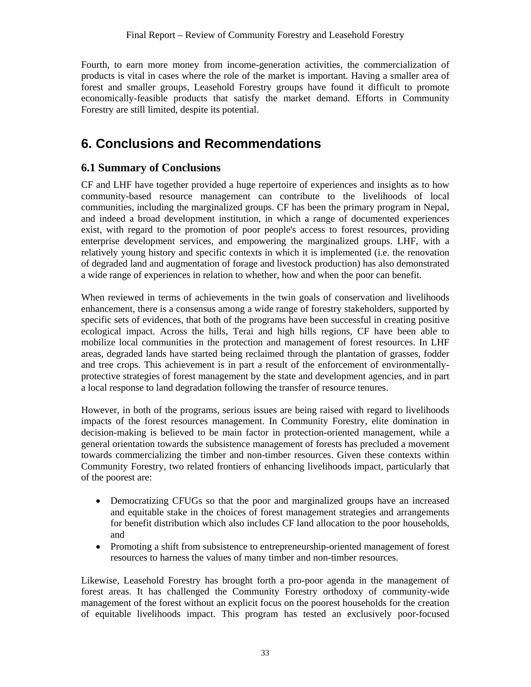Fourth, to earn more money from income-generation activities, the commercialization of products is vital in cases where the role of the market is important. Having a smaller area of forest and smaller groups, Leasehold Forestry groups have found it difficult to promote economically-feasible products that satisfy the market demand. Efforts in Community Forestry are still limited, despite its potential.

## **6. Conclusions and Recommendations**

### **6.1 Summary of Conclusions**

CF and LHF have together provided a huge repertoire of experiences and insights as to how community-based resource management can contribute to the livelihoods of local communities, including the marginalized groups. CF has been the primary program in Nepal, and indeed a broad development institution, in which a range of documented experiences exist, with regard to the promotion of poor people's access to forest resources, providing enterprise development services, and empowering the marginalized groups. LHF, with a relatively young history and specific contexts in which it is implemented (i.e. the renovation of degraded land and augmentation of forage and livestock production) has also demonstrated a wide range of experiences in relation to whether, how and when the poor can benefit.

When reviewed in terms of achievements in the twin goals of conservation and livelihoods enhancement, there is a consensus among a wide range of forestry stakeholders, supported by specific sets of evidences, that both of the programs have been successful in creating positive ecological impact. Across the hills, Terai and high hills regions, CF have been able to mobilize local communities in the protection and management of forest resources. In LHF areas, degraded lands have started being reclaimed through the plantation of grasses, fodder and tree crops. This achievement is in part a result of the enforcement of environmentallyprotective strategies of forest management by the state and development agencies, and in part a local response to land degradation following the transfer of resource tenures.

However, in both of the programs, serious issues are being raised with regard to livelihoods impacts of the forest resources management. In Community Forestry, elite domination in decision-making is believed to be main factor in protection-oriented management, while a general orientation towards the subsistence management of forests has precluded a movement towards commercializing the timber and non-timber resources. Given these contexts within Community Forestry, two related frontiers of enhancing livelihoods impact, particularly that of the poorest are:

- Democratizing CFUGs so that the poor and marginalized groups have an increased and equitable stake in the choices of forest management strategies and arrangements for benefit distribution which also includes CF land allocation to the poor households, and
- Promoting a shift from subsistence to entrepreneurship-oriented management of forest resources to harness the values of many timber and non-timber resources.

Likewise, Leasehold Forestry has brought forth a pro-poor agenda in the management of forest areas. It has challenged the Community Forestry orthodoxy of community-wide management of the forest without an explicit focus on the poorest households for the creation of equitable livelihoods impact. This program has tested an exclusively poor-focused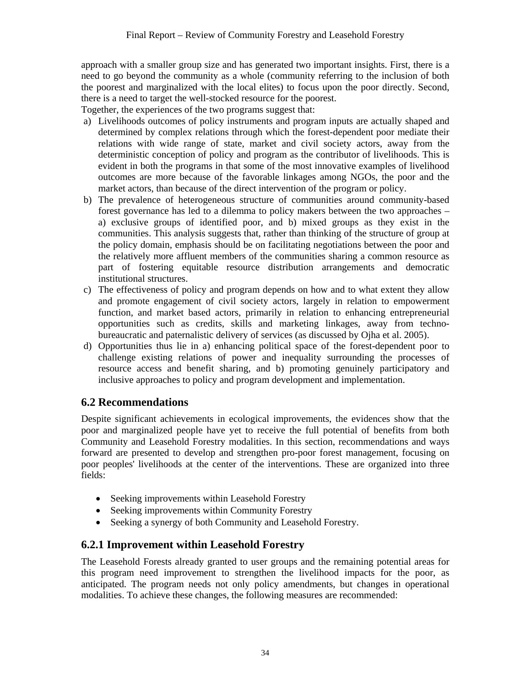approach with a smaller group size and has generated two important insights. First, there is a need to go beyond the community as a whole (community referring to the inclusion of both the poorest and marginalized with the local elites) to focus upon the poor directly. Second, there is a need to target the well-stocked resource for the poorest.

Together, the experiences of the two programs suggest that:

- a) Livelihoods outcomes of policy instruments and program inputs are actually shaped and determined by complex relations through which the forest-dependent poor mediate their relations with wide range of state, market and civil society actors, away from the deterministic conception of policy and program as the contributor of livelihoods. This is evident in both the programs in that some of the most innovative examples of livelihood outcomes are more because of the favorable linkages among NGOs, the poor and the market actors, than because of the direct intervention of the program or policy.
- b) The prevalence of heterogeneous structure of communities around community-based forest governance has led to a dilemma to policy makers between the two approaches – a) exclusive groups of identified poor, and b) mixed groups as they exist in the communities. This analysis suggests that, rather than thinking of the structure of group at the policy domain, emphasis should be on facilitating negotiations between the poor and the relatively more affluent members of the communities sharing a common resource as part of fostering equitable resource distribution arrangements and democratic institutional structures.
- c) The effectiveness of policy and program depends on how and to what extent they allow and promote engagement of civil society actors, largely in relation to empowerment function, and market based actors, primarily in relation to enhancing entrepreneurial opportunities such as credits, skills and marketing linkages, away from technobureaucratic and paternalistic delivery of services (as discussed by Ojha et al. 2005).
- d) Opportunities thus lie in a) enhancing political space of the forest-dependent poor to challenge existing relations of power and inequality surrounding the processes of resource access and benefit sharing, and b) promoting genuinely participatory and inclusive approaches to policy and program development and implementation.

### **6.2 Recommendations**

Despite significant achievements in ecological improvements, the evidences show that the poor and marginalized people have yet to receive the full potential of benefits from both Community and Leasehold Forestry modalities. In this section, recommendations and ways forward are presented to develop and strengthen pro-poor forest management, focusing on poor peoples' livelihoods at the center of the interventions. These are organized into three fields:

- Seeking improvements within Leasehold Forestry
- Seeking improvements within Community Forestry
- Seeking a synergy of both Community and Leasehold Forestry.

## **6.2.1 Improvement within Leasehold Forestry**

The Leasehold Forests already granted to user groups and the remaining potential areas for this program need improvement to strengthen the livelihood impacts for the poor, as anticipated. The program needs not only policy amendments, but changes in operational modalities. To achieve these changes, the following measures are recommended: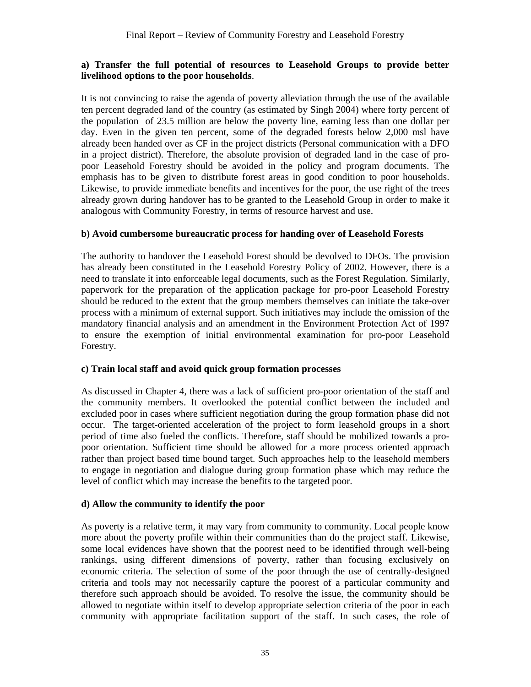### **a) Transfer the full potential of resources to Leasehold Groups to provide better livelihood options to the poor households**.

It is not convincing to raise the agenda of poverty alleviation through the use of the available ten percent degraded land of the country (as estimated by Singh 2004) where forty percent of the population of 23.5 million are below the poverty line, earning less than one dollar per day. Even in the given ten percent, some of the degraded forests below 2,000 msl have already been handed over as CF in the project districts (Personal communication with a DFO in a project district). Therefore, the absolute provision of degraded land in the case of propoor Leasehold Forestry should be avoided in the policy and program documents. The emphasis has to be given to distribute forest areas in good condition to poor households. Likewise, to provide immediate benefits and incentives for the poor, the use right of the trees already grown during handover has to be granted to the Leasehold Group in order to make it analogous with Community Forestry, in terms of resource harvest and use.

### **b) Avoid cumbersome bureaucratic process for handing over of Leasehold Forests**

The authority to handover the Leasehold Forest should be devolved to DFOs. The provision has already been constituted in the Leasehold Forestry Policy of 2002. However, there is a need to translate it into enforceable legal documents, such as the Forest Regulation. Similarly, paperwork for the preparation of the application package for pro-poor Leasehold Forestry should be reduced to the extent that the group members themselves can initiate the take-over process with a minimum of external support. Such initiatives may include the omission of the mandatory financial analysis and an amendment in the Environment Protection Act of 1997 to ensure the exemption of initial environmental examination for pro-poor Leasehold Forestry.

### **c) Train local staff and avoid quick group formation processes**

As discussed in Chapter 4, there was a lack of sufficient pro-poor orientation of the staff and the community members. It overlooked the potential conflict between the included and excluded poor in cases where sufficient negotiation during the group formation phase did not occur. The target-oriented acceleration of the project to form leasehold groups in a short period of time also fueled the conflicts. Therefore, staff should be mobilized towards a propoor orientation. Sufficient time should be allowed for a more process oriented approach rather than project based time bound target. Such approaches help to the leasehold members to engage in negotiation and dialogue during group formation phase which may reduce the level of conflict which may increase the benefits to the targeted poor.

### **d) Allow the community to identify the poor**

As poverty is a relative term, it may vary from community to community. Local people know more about the poverty profile within their communities than do the project staff. Likewise, some local evidences have shown that the poorest need to be identified through well-being rankings, using different dimensions of poverty, rather than focusing exclusively on economic criteria. The selection of some of the poor through the use of centrally-designed criteria and tools may not necessarily capture the poorest of a particular community and therefore such approach should be avoided. To resolve the issue, the community should be allowed to negotiate within itself to develop appropriate selection criteria of the poor in each community with appropriate facilitation support of the staff. In such cases, the role of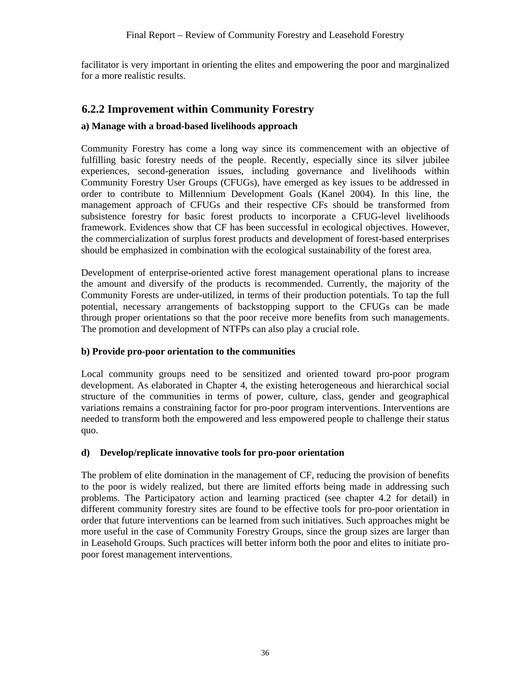facilitator is very important in orienting the elites and empowering the poor and marginalized for a more realistic results.

### **6.2.2 Improvement within Community Forestry**

### **a) Manage with a broad-based livelihoods approach**

Community Forestry has come a long way since its commencement with an objective of fulfilling basic forestry needs of the people. Recently, especially since its silver jubilee experiences, second-generation issues, including governance and livelihoods within Community Forestry User Groups (CFUGs), have emerged as key issues to be addressed in order to contribute to Millennium Development Goals (Kanel 2004). In this line, the management approach of CFUGs and their respective CFs should be transformed from subsistence forestry for basic forest products to incorporate a CFUG-level livelihoods framework. Evidences show that CF has been successful in ecological objectives. However, the commercialization of surplus forest products and development of forest-based enterprises should be emphasized in combination with the ecological sustainability of the forest area.

Development of enterprise-oriented active forest management operational plans to increase the amount and diversify of the products is recommended. Currently, the majority of the Community Forests are under-utilized, in terms of their production potentials. To tap the full potential, necessary arrangements of backstopping support to the CFUGs can be made through proper orientations so that the poor receive more benefits from such managements. The promotion and development of NTFPs can also play a crucial role.

### **b) Provide pro-poor orientation to the communities**

Local community groups need to be sensitized and oriented toward pro-poor program development. As elaborated in Chapter 4, the existing heterogeneous and hierarchical social structure of the communities in terms of power, culture, class, gender and geographical variations remains a constraining factor for pro-poor program interventions. Interventions are needed to transform both the empowered and less empowered people to challenge their status quo.

#### **d) Develop/replicate innovative tools for pro-poor orientation**

The problem of elite domination in the management of CF, reducing the provision of benefits to the poor is widely realized, but there are limited efforts being made in addressing such problems. The Participatory action and learning practiced (see chapter 4.2 for detail) in different community forestry sites are found to be effective tools for pro-poor orientation in order that future interventions can be learned from such initiatives. Such approaches might be more useful in the case of Community Forestry Groups, since the group sizes are larger than in Leasehold Groups. Such practices will better inform both the poor and elites to initiate propoor forest management interventions.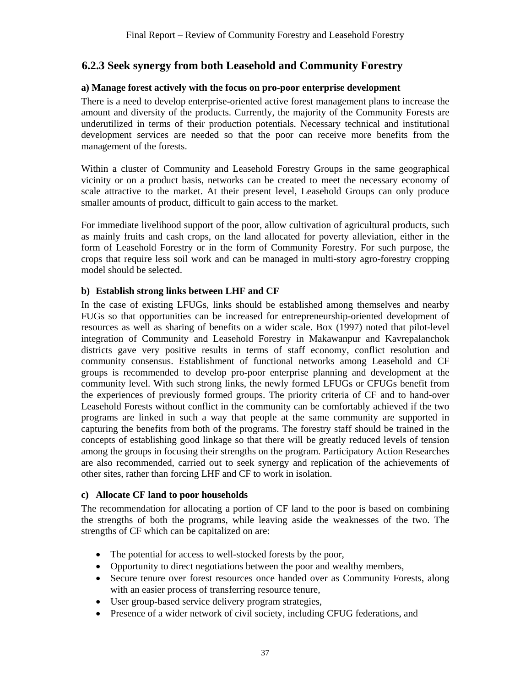### **6.2.3 Seek synergy from both Leasehold and Community Forestry**

#### **a) Manage forest actively with the focus on pro-poor enterprise development**

There is a need to develop enterprise-oriented active forest management plans to increase the amount and diversity of the products. Currently, the majority of the Community Forests are underutilized in terms of their production potentials. Necessary technical and institutional development services are needed so that the poor can receive more benefits from the management of the forests.

Within a cluster of Community and Leasehold Forestry Groups in the same geographical vicinity or on a product basis, networks can be created to meet the necessary economy of scale attractive to the market. At their present level, Leasehold Groups can only produce smaller amounts of product, difficult to gain access to the market.

For immediate livelihood support of the poor, allow cultivation of agricultural products, such as mainly fruits and cash crops, on the land allocated for poverty alleviation, either in the form of Leasehold Forestry or in the form of Community Forestry. For such purpose, the crops that require less soil work and can be managed in multi-story agro-forestry cropping model should be selected.

### **b) Establish strong links between LHF and CF**

In the case of existing LFUGs, links should be established among themselves and nearby FUGs so that opportunities can be increased for entrepreneurship-oriented development of resources as well as sharing of benefits on a wider scale. Box (1997) noted that pilot-level integration of Community and Leasehold Forestry in Makawanpur and Kavrepalanchok districts gave very positive results in terms of staff economy, conflict resolution and community consensus. Establishment of functional networks among Leasehold and CF groups is recommended to develop pro-poor enterprise planning and development at the community level. With such strong links, the newly formed LFUGs or CFUGs benefit from the experiences of previously formed groups. The priority criteria of CF and to hand-over Leasehold Forests without conflict in the community can be comfortably achieved if the two programs are linked in such a way that people at the same community are supported in capturing the benefits from both of the programs. The forestry staff should be trained in the concepts of establishing good linkage so that there will be greatly reduced levels of tension among the groups in focusing their strengths on the program. Participatory Action Researches are also recommended, carried out to seek synergy and replication of the achievements of other sites, rather than forcing LHF and CF to work in isolation.

#### **c) Allocate CF land to poor households**

The recommendation for allocating a portion of CF land to the poor is based on combining the strengths of both the programs, while leaving aside the weaknesses of the two. The strengths of CF which can be capitalized on are:

- The potential for access to well-stocked forests by the poor,
- Opportunity to direct negotiations between the poor and wealthy members,
- Secure tenure over forest resources once handed over as Community Forests, along with an easier process of transferring resource tenure,
- User group-based service delivery program strategies,
- Presence of a wider network of civil society, including CFUG federations, and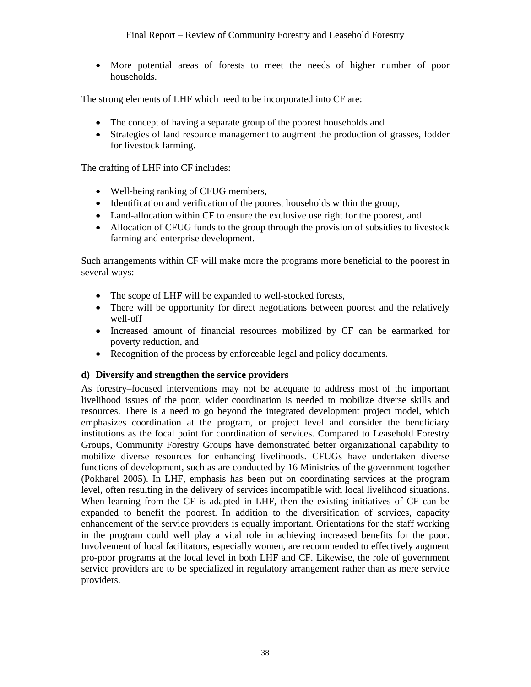• More potential areas of forests to meet the needs of higher number of poor households.

The strong elements of LHF which need to be incorporated into CF are:

- The concept of having a separate group of the poorest households and
- Strategies of land resource management to augment the production of grasses, fodder for livestock farming.

The crafting of LHF into CF includes:

- Well-being ranking of CFUG members,
- Identification and verification of the poorest households within the group,
- Land-allocation within CF to ensure the exclusive use right for the poorest, and
- Allocation of CFUG funds to the group through the provision of subsidies to livestock farming and enterprise development.

Such arrangements within CF will make more the programs more beneficial to the poorest in several ways:

- The scope of LHF will be expanded to well-stocked forests,
- There will be opportunity for direct negotiations between poorest and the relatively well-off
- Increased amount of financial resources mobilized by CF can be earmarked for poverty reduction, and
- Recognition of the process by enforceable legal and policy documents.

### **d) Diversify and strengthen the service providers**

As forestry–focused interventions may not be adequate to address most of the important livelihood issues of the poor, wider coordination is needed to mobilize diverse skills and resources. There is a need to go beyond the integrated development project model, which emphasizes coordination at the program, or project level and consider the beneficiary institutions as the focal point for coordination of services. Compared to Leasehold Forestry Groups, Community Forestry Groups have demonstrated better organizational capability to mobilize diverse resources for enhancing livelihoods. CFUGs have undertaken diverse functions of development, such as are conducted by 16 Ministries of the government together (Pokharel 2005). In LHF, emphasis has been put on coordinating services at the program level, often resulting in the delivery of services incompatible with local livelihood situations. When learning from the CF is adapted in LHF, then the existing initiatives of CF can be expanded to benefit the poorest. In addition to the diversification of services, capacity enhancement of the service providers is equally important. Orientations for the staff working in the program could well play a vital role in achieving increased benefits for the poor. Involvement of local facilitators, especially women, are recommended to effectively augment pro-poor programs at the local level in both LHF and CF. Likewise, the role of government service providers are to be specialized in regulatory arrangement rather than as mere service providers.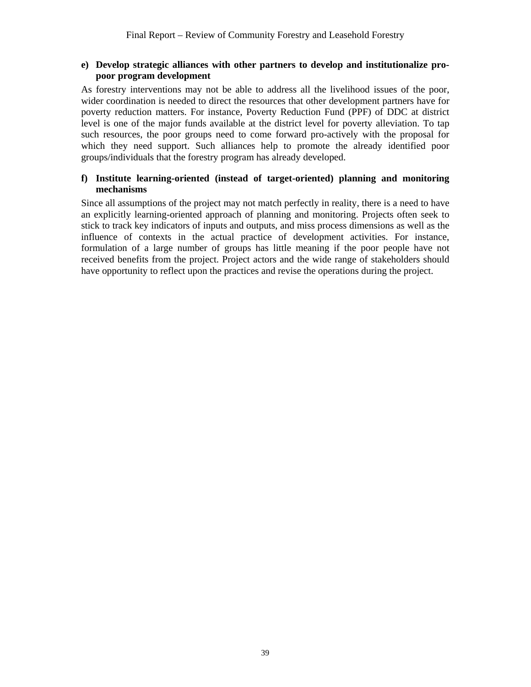#### **e) Develop strategic alliances with other partners to develop and institutionalize propoor program development**

As forestry interventions may not be able to address all the livelihood issues of the poor, wider coordination is needed to direct the resources that other development partners have for poverty reduction matters. For instance, Poverty Reduction Fund (PPF) of DDC at district level is one of the major funds available at the district level for poverty alleviation. To tap such resources, the poor groups need to come forward pro-actively with the proposal for which they need support. Such alliances help to promote the already identified poor groups/individuals that the forestry program has already developed.

#### **f) Institute learning-oriented (instead of target-oriented) planning and monitoring mechanisms**

Since all assumptions of the project may not match perfectly in reality, there is a need to have an explicitly learning-oriented approach of planning and monitoring. Projects often seek to stick to track key indicators of inputs and outputs, and miss process dimensions as well as the influence of contexts in the actual practice of development activities. For instance, formulation of a large number of groups has little meaning if the poor people have not received benefits from the project. Project actors and the wide range of stakeholders should have opportunity to reflect upon the practices and revise the operations during the project.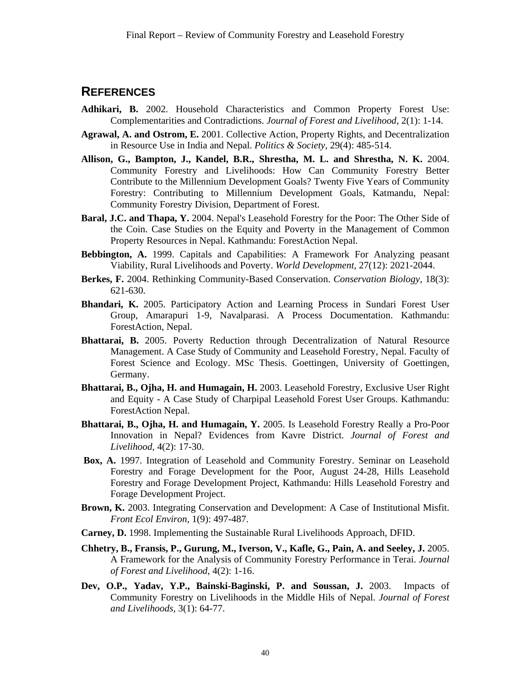### **REFERENCES**

- **Adhikari, B.** 2002. Household Characteristics and Common Property Forest Use: Complementarities and Contradictions. *Journal of Forest and Livelihood,* 2(1): 1-14.
- **Agrawal, A. and Ostrom, E.** 2001. Collective Action, Property Rights, and Decentralization in Resource Use in India and Nepal. *Politics & Society,* 29(4): 485-514.
- **Allison, G., Bampton, J., Kandel, B.R., Shrestha, M. L. and Shrestha, N. K.** 2004. Community Forestry and Livelihoods: How Can Community Forestry Better Contribute to the Millennium Development Goals? Twenty Five Years of Community Forestry: Contributing to Millennium Development Goals, Katmandu, Nepal: Community Forestry Division, Department of Forest.
- **Baral, J.C. and Thapa, Y.** 2004. Nepal's Leasehold Forestry for the Poor: The Other Side of the Coin. Case Studies on the Equity and Poverty in the Management of Common Property Resources in Nepal. Kathmandu: ForestAction Nepal.
- **Bebbington, A.** 1999. Capitals and Capabilities: A Framework For Analyzing peasant Viability, Rural Livelihoods and Poverty. *World Development,* 27(12): 2021-2044.
- **Berkes, F.** 2004. Rethinking Community-Based Conservation. *Conservation Biology,* 18(3): 621-630.
- **Bhandari, K.** 2005. Participatory Action and Learning Process in Sundari Forest User Group, Amarapuri 1-9, Navalparasi. A Process Documentation. Kathmandu: ForestAction, Nepal.
- **Bhattarai, B.** 2005. Poverty Reduction through Decentralization of Natural Resource Management. A Case Study of Community and Leasehold Forestry, Nepal. Faculty of Forest Science and Ecology. MSc Thesis. Goettingen, University of Goettingen, Germany.
- **Bhattarai, B., Ojha, H. and Humagain, H.** 2003. Leasehold Forestry, Exclusive User Right and Equity - A Case Study of Charpipal Leasehold Forest User Groups. Kathmandu: ForestAction Nepal.
- **Bhattarai, B., Ojha, H. and Humagain, Y.** 2005. Is Leasehold Forestry Really a Pro-Poor Innovation in Nepal? Evidences from Kavre District. *Journal of Forest and Livelihood,* 4(2): 17-30.
- **Box, A.** 1997. Integration of Leasehold and Community Forestry. Seminar on Leasehold Forestry and Forage Development for the Poor, August 24-28, Hills Leasehold Forestry and Forage Development Project, Kathmandu: Hills Leasehold Forestry and Forage Development Project.
- **Brown, K.** 2003. Integrating Conservation and Development: A Case of Institutional Misfit. *Front Ecol Environ,* 1(9): 497-487.
- **Carney, D.** 1998. Implementing the Sustainable Rural Livelihoods Approach, DFID.
- **Chhetry, B., Fransis, P., Gurung, M., Iverson, V., Kafle, G., Pain, A. and Seeley, J.** 2005. A Framework for the Analysis of Community Forestry Performance in Terai. *Journal of Forest and Livelihood*, 4(2): 1-16.
- **Dev, O.P., Yadav, Y.P., Bainski-Baginski, P. and Soussan, J.** 2003. Impacts of Community Forestry on Livelihoods in the Middle Hils of Nepal. *Journal of Forest and Livelihoods,* 3(1): 64-77.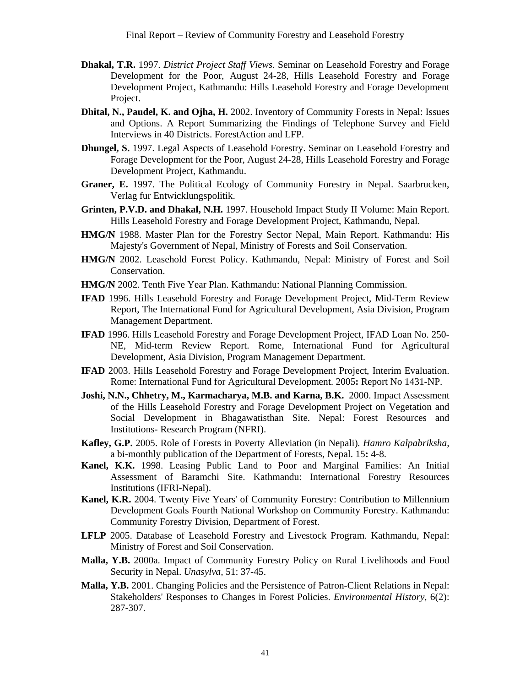- **Dhakal, T.R.** 1997. *District Project Staff Views*. Seminar on Leasehold Forestry and Forage Development for the Poor, August 24-28, Hills Leasehold Forestry and Forage Development Project, Kathmandu: Hills Leasehold Forestry and Forage Development Project.
- **Dhital, N., Paudel, K. and Ojha, H.** 2002. Inventory of Community Forests in Nepal: Issues and Options. A Report Summarizing the Findings of Telephone Survey and Field Interviews in 40 Districts. ForestAction and LFP.
- **Dhungel, S.** 1997. Legal Aspects of Leasehold Forestry. Seminar on Leasehold Forestry and Forage Development for the Poor, August 24-28, Hills Leasehold Forestry and Forage Development Project, Kathmandu.
- **Graner, E.** 1997. The Political Ecology of Community Forestry in Nepal. Saarbrucken, Verlag fur Entwicklungspolitik.
- **Grinten, P.V.D. and Dhakal, N.H.** 1997. Household Impact Study II Volume: Main Report. Hills Leasehold Forestry and Forage Development Project, Kathmandu, Nepal.
- **HMG/N** 1988. Master Plan for the Forestry Sector Nepal, Main Report. Kathmandu: His Majesty's Government of Nepal, Ministry of Forests and Soil Conservation.
- **HMG/N** 2002. Leasehold Forest Policy. Kathmandu, Nepal: Ministry of Forest and Soil Conservation.
- **HMG/N** 2002. Tenth Five Year Plan. Kathmandu: National Planning Commission.
- **IFAD** 1996. Hills Leasehold Forestry and Forage Development Project, Mid-Term Review Report, The International Fund for Agricultural Development, Asia Division, Program Management Department.
- **IFAD** 1996. Hills Leasehold Forestry and Forage Development Project, IFAD Loan No. 250- NE, Mid-term Review Report. Rome, International Fund for Agricultural Development, Asia Division, Program Management Department.
- **IFAD** 2003. Hills Leasehold Forestry and Forage Development Project, Interim Evaluation. Rome: International Fund for Agricultural Development. 2005**:** Report No 1431-NP.
- **Joshi, N.N., Chhetry, M., Karmacharya, M.B. and Karna, B.K.** 2000. Impact Assessment of the Hills Leasehold Forestry and Forage Development Project on Vegetation and Social Development in Bhagawatisthan Site. Nepal: Forest Resources and Institutions- Research Program (NFRI).
- **Kafley, G.P.** 2005. Role of Forests in Poverty Alleviation (in Nepali)*. Hamro Kalpabriksha,* a bi-monthly publication of the Department of Forests, Nepal. 15**:** 4-8.
- **Kanel, K.K.** 1998. Leasing Public Land to Poor and Marginal Families: An Initial Assessment of Baramchi Site. Kathmandu: International Forestry Resources Institutions (IFRI-Nepal).
- **Kanel, K.R.** 2004. Twenty Five Years' of Community Forestry: Contribution to Millennium Development Goals Fourth National Workshop on Community Forestry. Kathmandu: Community Forestry Division, Department of Forest.
- **LFLP** 2005. Database of Leasehold Forestry and Livestock Program. Kathmandu, Nepal: Ministry of Forest and Soil Conservation.
- **Malla, Y.B.** 2000a. Impact of Community Forestry Policy on Rural Livelihoods and Food Security in Nepal. *Unasylva,* 51: 37-45.
- **Malla, Y.B.** 2001. Changing Policies and the Persistence of Patron-Client Relations in Nepal: Stakeholders' Responses to Changes in Forest Policies. *Environmental History,* 6(2): 287-307.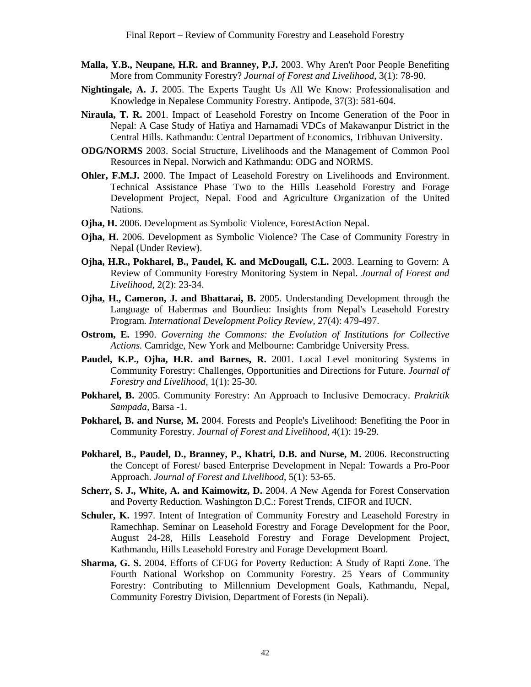- **Malla, Y.B., Neupane, H.R. and Branney, P.J.** 2003. Why Aren't Poor People Benefiting More from Community Forestry? *Journal of Forest and Livelihood*, 3(1): 78-90.
- **Nightingale, A. J.** 2005. The Experts Taught Us All We Know: Professionalisation and Knowledge in Nepalese Community Forestry. Antipode, 37(3): 581-604.
- **Niraula, T. R.** 2001. Impact of Leasehold Forestry on Income Generation of the Poor in Nepal: A Case Study of Hatiya and Harnamadi VDCs of Makawanpur District in the Central Hills*.* Kathmandu: Central Department of Economics, Tribhuvan University.
- **ODG/NORMS** 2003. Social Structure, Livelihoods and the Management of Common Pool Resources in Nepal. Norwich and Kathmandu: ODG and NORMS.
- **Ohler, F.M.J.** 2000. The Impact of Leasehold Forestry on Livelihoods and Environment. Technical Assistance Phase Two to the Hills Leasehold Forestry and Forage Development Project, Nepal. Food and Agriculture Organization of the United Nations.
- **Ojha, H.** 2006. Development as Symbolic Violence, ForestAction Nepal.
- **Ojha, H.** 2006. Development as Symbolic Violence? The Case of Community Forestry in Nepal (Under Review).
- **Ojha, H.R., Pokharel, B., Paudel, K. and McDougall, C.L.** 2003. Learning to Govern: A Review of Community Forestry Monitoring System in Nepal. *Journal of Forest and Livelihood,* 2(2): 23-34.
- **Ojha, H., Cameron, J. and Bhattarai, B.** 2005. Understanding Development through the Language of Habermas and Bourdieu: Insights from Nepal's Leasehold Forestry Program. *International Development Policy Review*, 27(4): 479-497.
- **Ostrom, E.** 1990. *Governing the Commons: the Evolution of Institutions for Collective Actions.* Camridge, New York and Melbourne: Cambridge University Press.
- **Paudel, K.P., Ojha, H.R. and Barnes, R.** 2001. Local Level monitoring Systems in Community Forestry: Challenges, Opportunities and Directions for Future. *Journal of Forestry and Livelihood*, 1(1): 25-30.
- **Pokharel, B.** 2005. Community Forestry: An Approach to Inclusive Democracy. *Prakritik Sampada,* Barsa -1.
- **Pokharel, B. and Nurse, M.** 2004. Forests and People's Livelihood: Benefiting the Poor in Community Forestry. *Journal of Forest and Livelihood,* 4(1): 19-29.
- **Pokharel, B., Paudel, D., Branney, P., Khatri, D.B. and Nurse, M.** 2006. Reconstructing the Concept of Forest/ based Enterprise Development in Nepal: Towards a Pro-Poor Approach. *Journal of Forest and Livelihood*, 5(1): 53-65.
- **Scherr, S. J., White, A. and Kaimowitz, D.** 2004. *A* New Agenda for Forest Conservation and Poverty Reduction*.* Washington D.C.: Forest Trends, CIFOR and IUCN.
- **Schuler, K.** 1997. Intent of Integration of Community Forestry and Leasehold Forestry in Ramechhap. Seminar on Leasehold Forestry and Forage Development for the Poor, August 24-28, Hills Leasehold Forestry and Forage Development Project, Kathmandu, Hills Leasehold Forestry and Forage Development Board.
- **Sharma, G. S.** 2004. Efforts of CFUG for Poverty Reduction: A Study of Rapti Zone. The Fourth National Workshop on Community Forestry*.* 25 Years of Community Forestry: Contributing to Millennium Development Goals, Kathmandu, Nepal, Community Forestry Division, Department of Forests (in Nepali).